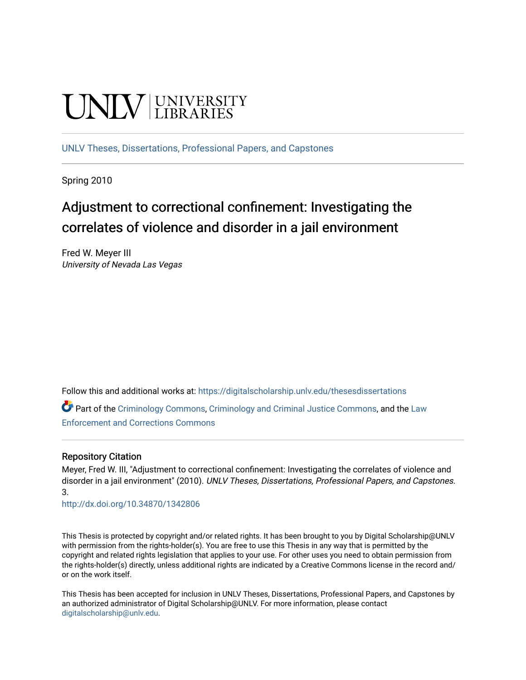# UNIV UNIVERSITY

[UNLV Theses, Dissertations, Professional Papers, and Capstones](https://digitalscholarship.unlv.edu/thesesdissertations)

Spring 2010

# Adjustment to correctional confinement: Investigating the correlates of violence and disorder in a jail environment

Fred W. Meyer III University of Nevada Las Vegas

Follow this and additional works at: [https://digitalscholarship.unlv.edu/thesesdissertations](https://digitalscholarship.unlv.edu/thesesdissertations?utm_source=digitalscholarship.unlv.edu%2Fthesesdissertations%2F3&utm_medium=PDF&utm_campaign=PDFCoverPages)

Part of the [Criminology Commons](http://network.bepress.com/hgg/discipline/417?utm_source=digitalscholarship.unlv.edu%2Fthesesdissertations%2F3&utm_medium=PDF&utm_campaign=PDFCoverPages), [Criminology and Criminal Justice Commons,](http://network.bepress.com/hgg/discipline/367?utm_source=digitalscholarship.unlv.edu%2Fthesesdissertations%2F3&utm_medium=PDF&utm_campaign=PDFCoverPages) and the [Law](http://network.bepress.com/hgg/discipline/854?utm_source=digitalscholarship.unlv.edu%2Fthesesdissertations%2F3&utm_medium=PDF&utm_campaign=PDFCoverPages)  [Enforcement and Corrections Commons](http://network.bepress.com/hgg/discipline/854?utm_source=digitalscholarship.unlv.edu%2Fthesesdissertations%2F3&utm_medium=PDF&utm_campaign=PDFCoverPages) 

#### Repository Citation

Meyer, Fred W. III, "Adjustment to correctional confinement: Investigating the correlates of violence and disorder in a jail environment" (2010). UNLV Theses, Dissertations, Professional Papers, and Capstones. 3.

<http://dx.doi.org/10.34870/1342806>

This Thesis is protected by copyright and/or related rights. It has been brought to you by Digital Scholarship@UNLV with permission from the rights-holder(s). You are free to use this Thesis in any way that is permitted by the copyright and related rights legislation that applies to your use. For other uses you need to obtain permission from the rights-holder(s) directly, unless additional rights are indicated by a Creative Commons license in the record and/ or on the work itself.

This Thesis has been accepted for inclusion in UNLV Theses, Dissertations, Professional Papers, and Capstones by an authorized administrator of Digital Scholarship@UNLV. For more information, please contact [digitalscholarship@unlv.edu](mailto:digitalscholarship@unlv.edu).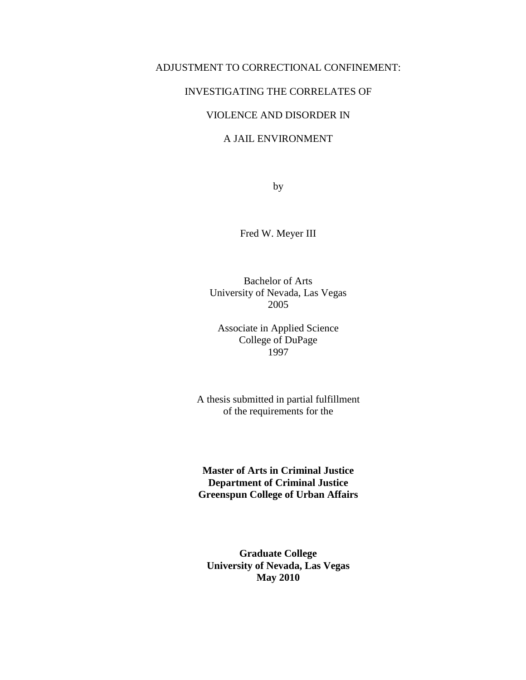#### ADJUSTMENT TO CORRECTIONAL CONFINEMENT:

#### INVESTIGATING THE CORRELATES OF

### VIOLENCE AND DISORDER IN

#### A JAIL ENVIRONMENT

by

Fred W. Meyer III

Bachelor of Arts University of Nevada, Las Vegas 2005

Associate in Applied Science College of DuPage 1997

A thesis submitted in partial fulfillment of the requirements for the

**Master of Arts in Criminal Justice Department of Criminal Justice Greenspun College of Urban Affairs** 

**Graduate College University of Nevada, Las Vegas May 2010**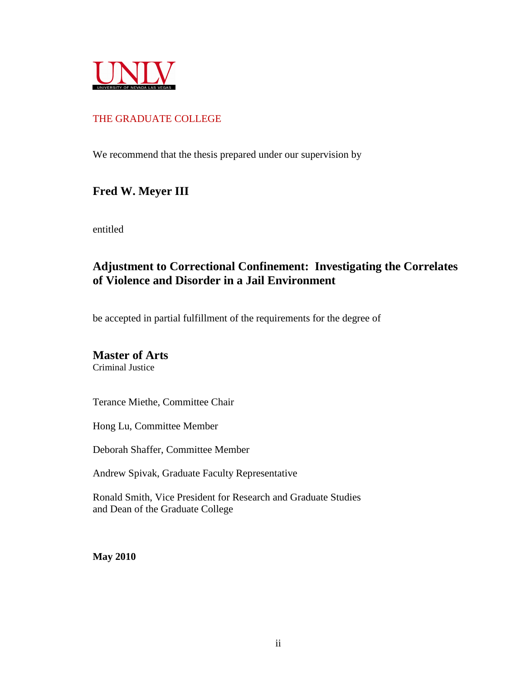

## THE GRADUATE COLLEGE

We recommend that the thesis prepared under our supervision by

## **Fred W. Meyer III**

entitled

## **Adjustment to Correctional Confinement: Investigating the Correlates of Violence and Disorder in a Jail Environment**

be accepted in partial fulfillment of the requirements for the degree of

## **Master of Arts**

Criminal Justice

Terance Miethe, Committee Chair

Hong Lu, Committee Member

Deborah Shaffer, Committee Member

Andrew Spivak, Graduate Faculty Representative

Ronald Smith, Vice President for Research and Graduate Studies and Dean of the Graduate College

**May 2010**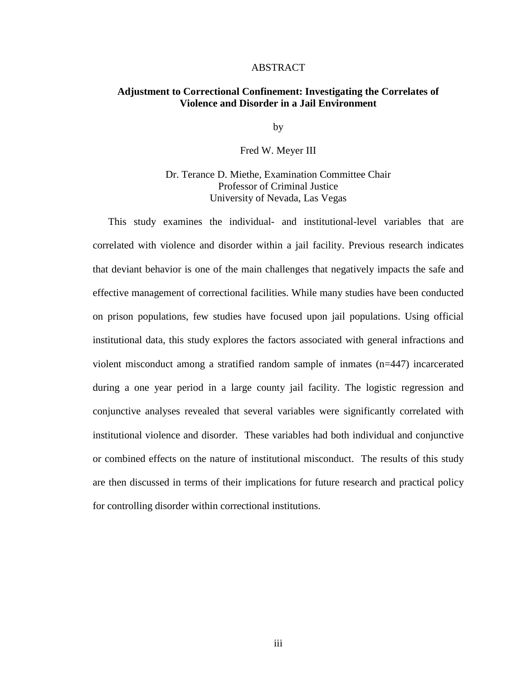#### ABSTRACT

#### **Adjustment to Correctional Confinement: Investigating the Correlates of Violence and Disorder in a Jail Environment**

by

Fred W. Meyer III

Dr. Terance D. Miethe, Examination Committee Chair Professor of Criminal Justice University of Nevada, Las Vegas

 This study examines the individual- and institutional-level variables that are correlated with violence and disorder within a jail facility. Previous research indicates that deviant behavior is one of the main challenges that negatively impacts the safe and effective management of correctional facilities. While many studies have been conducted on prison populations, few studies have focused upon jail populations. Using official institutional data, this study explores the factors associated with general infractions and violent misconduct among a stratified random sample of inmates (n=447) incarcerated during a one year period in a large county jail facility. The logistic regression and conjunctive analyses revealed that several variables were significantly correlated with institutional violence and disorder. These variables had both individual and conjunctive or combined effects on the nature of institutional misconduct. The results of this study are then discussed in terms of their implications for future research and practical policy for controlling disorder within correctional institutions.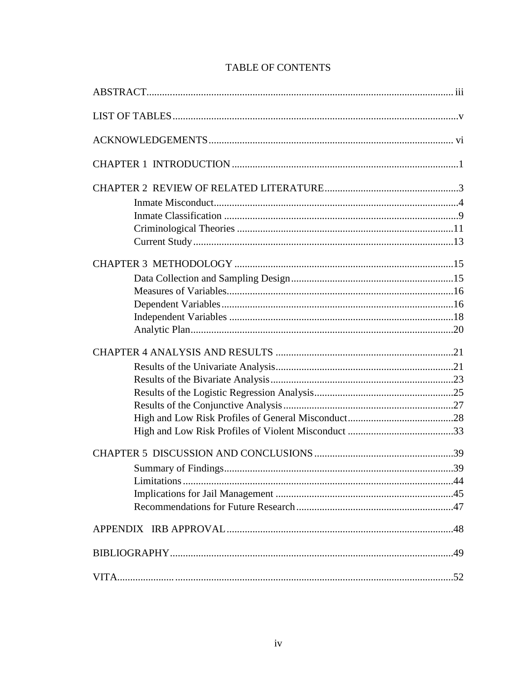| Summary of Findings | 39 |
|---------------------|----|
|                     |    |
|                     |    |
|                     |    |
|                     |    |
|                     |    |
| VITA.               | 52 |

## **TABLE OF CONTENTS**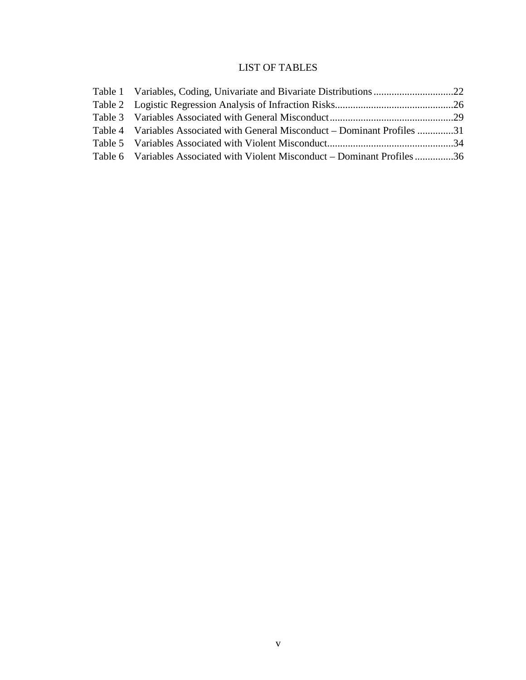## LIST OF TABLES

| Table 4 Variables Associated with General Misconduct – Dominant Profiles 31 |  |
|-----------------------------------------------------------------------------|--|
|                                                                             |  |
| Table 6 Variables Associated with Violent Misconduct – Dominant Profiles36  |  |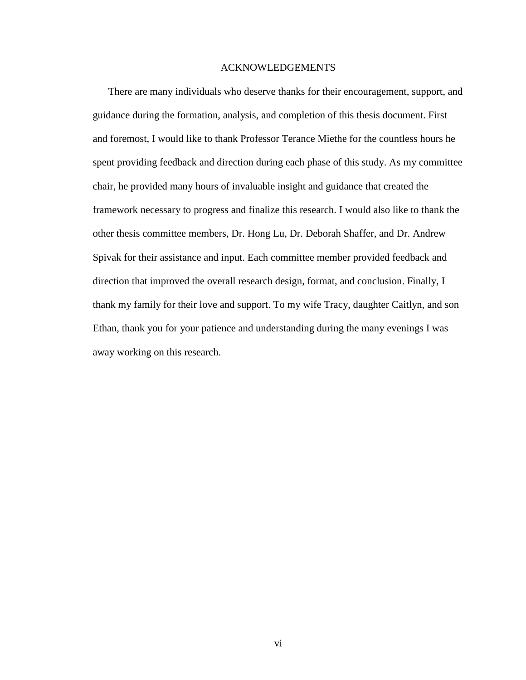#### ACKNOWLEDGEMENTS

 There are many individuals who deserve thanks for their encouragement, support, and guidance during the formation, analysis, and completion of this thesis document. First and foremost, I would like to thank Professor Terance Miethe for the countless hours he spent providing feedback and direction during each phase of this study. As my committee chair, he provided many hours of invaluable insight and guidance that created the framework necessary to progress and finalize this research. I would also like to thank the other thesis committee members, Dr. Hong Lu, Dr. Deborah Shaffer, and Dr. Andrew Spivak for their assistance and input. Each committee member provided feedback and direction that improved the overall research design, format, and conclusion. Finally, I thank my family for their love and support. To my wife Tracy, daughter Caitlyn, and son Ethan, thank you for your patience and understanding during the many evenings I was away working on this research.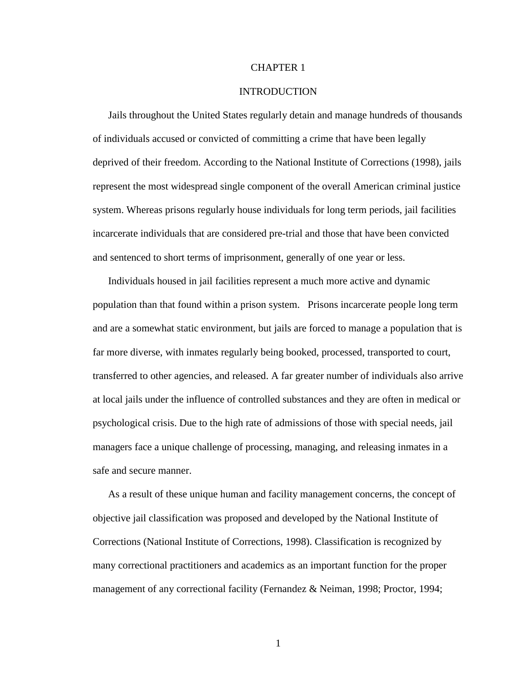#### CHAPTER 1

#### INTRODUCTION

 Jails throughout the United States regularly detain and manage hundreds of thousands of individuals accused or convicted of committing a crime that have been legally deprived of their freedom. According to the National Institute of Corrections (1998), jails represent the most widespread single component of the overall American criminal justice system. Whereas prisons regularly house individuals for long term periods, jail facilities incarcerate individuals that are considered pre-trial and those that have been convicted and sentenced to short terms of imprisonment, generally of one year or less.

 Individuals housed in jail facilities represent a much more active and dynamic population than that found within a prison system. Prisons incarcerate people long term and are a somewhat static environment, but jails are forced to manage a population that is far more diverse, with inmates regularly being booked, processed, transported to court, transferred to other agencies, and released. A far greater number of individuals also arrive at local jails under the influence of controlled substances and they are often in medical or psychological crisis. Due to the high rate of admissions of those with special needs, jail managers face a unique challenge of processing, managing, and releasing inmates in a safe and secure manner.

 As a result of these unique human and facility management concerns, the concept of objective jail classification was proposed and developed by the National Institute of Corrections (National Institute of Corrections, 1998). Classification is recognized by many correctional practitioners and academics as an important function for the proper management of any correctional facility (Fernandez & Neiman, 1998; Proctor, 1994;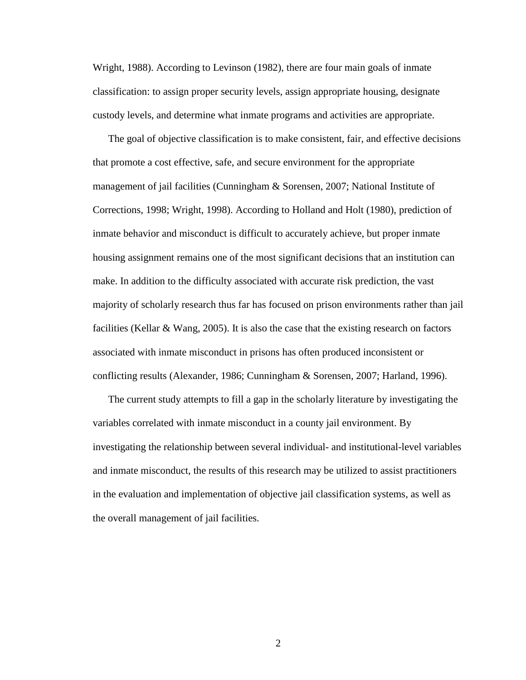Wright, 1988). According to Levinson (1982), there are four main goals of inmate classification: to assign proper security levels, assign appropriate housing, designate custody levels, and determine what inmate programs and activities are appropriate.

 The goal of objective classification is to make consistent, fair, and effective decisions that promote a cost effective, safe, and secure environment for the appropriate management of jail facilities (Cunningham & Sorensen, 2007; National Institute of Corrections, 1998; Wright, 1998). According to Holland and Holt (1980), prediction of inmate behavior and misconduct is difficult to accurately achieve, but proper inmate housing assignment remains one of the most significant decisions that an institution can make. In addition to the difficulty associated with accurate risk prediction, the vast majority of scholarly research thus far has focused on prison environments rather than jail facilities (Kellar & Wang, 2005). It is also the case that the existing research on factors associated with inmate misconduct in prisons has often produced inconsistent or conflicting results (Alexander, 1986; Cunningham & Sorensen, 2007; Harland, 1996).

 The current study attempts to fill a gap in the scholarly literature by investigating the variables correlated with inmate misconduct in a county jail environment. By investigating the relationship between several individual- and institutional-level variables and inmate misconduct, the results of this research may be utilized to assist practitioners in the evaluation and implementation of objective jail classification systems, as well as the overall management of jail facilities.

2 a set of  $\sim$  2 a set of  $\sim$  2 a set of  $\sim$  2 a set of  $\sim$  3 a set of  $\sim$  3 a set of  $\sim$  3 a set of  $\sim$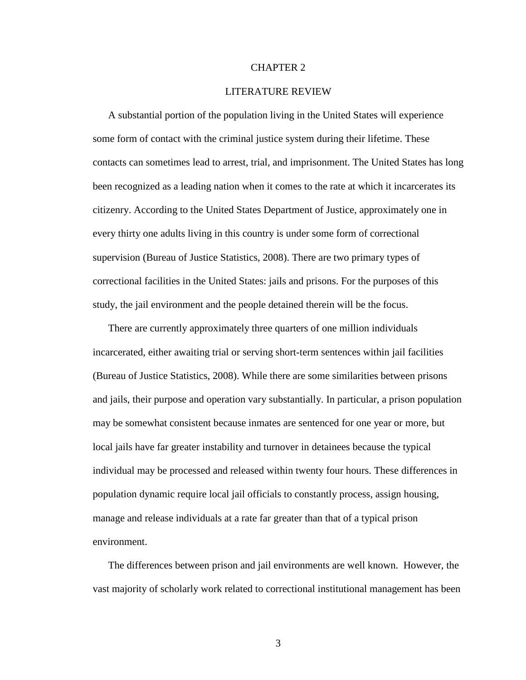#### CHAPTER 2

#### LITERATURE REVIEW

 A substantial portion of the population living in the United States will experience some form of contact with the criminal justice system during their lifetime. These contacts can sometimes lead to arrest, trial, and imprisonment. The United States has long been recognized as a leading nation when it comes to the rate at which it incarcerates its citizenry. According to the United States Department of Justice, approximately one in every thirty one adults living in this country is under some form of correctional supervision (Bureau of Justice Statistics, 2008). There are two primary types of correctional facilities in the United States: jails and prisons. For the purposes of this study, the jail environment and the people detained therein will be the focus.

 There are currently approximately three quarters of one million individuals incarcerated, either awaiting trial or serving short-term sentences within jail facilities (Bureau of Justice Statistics, 2008). While there are some similarities between prisons and jails, their purpose and operation vary substantially. In particular, a prison population may be somewhat consistent because inmates are sentenced for one year or more, but local jails have far greater instability and turnover in detainees because the typical individual may be processed and released within twenty four hours. These differences in population dynamic require local jail officials to constantly process, assign housing, manage and release individuals at a rate far greater than that of a typical prison environment.

 The differences between prison and jail environments are well known. However, the vast majority of scholarly work related to correctional institutional management has been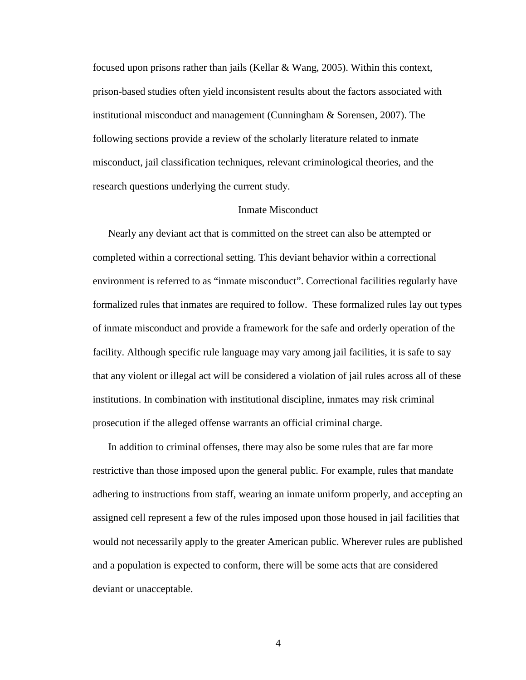focused upon prisons rather than jails (Kellar & Wang, 2005). Within this context, prison-based studies often yield inconsistent results about the factors associated with institutional misconduct and management (Cunningham & Sorensen, 2007). The following sections provide a review of the scholarly literature related to inmate misconduct, jail classification techniques, relevant criminological theories, and the research questions underlying the current study.

#### Inmate Misconduct

 Nearly any deviant act that is committed on the street can also be attempted or completed within a correctional setting. This deviant behavior within a correctional environment is referred to as "inmate misconduct". Correctional facilities regularly have formalized rules that inmates are required to follow. These formalized rules lay out types of inmate misconduct and provide a framework for the safe and orderly operation of the facility. Although specific rule language may vary among jail facilities, it is safe to say that any violent or illegal act will be considered a violation of jail rules across all of these institutions. In combination with institutional discipline, inmates may risk criminal prosecution if the alleged offense warrants an official criminal charge.

 In addition to criminal offenses, there may also be some rules that are far more restrictive than those imposed upon the general public. For example, rules that mandate adhering to instructions from staff, wearing an inmate uniform properly, and accepting an assigned cell represent a few of the rules imposed upon those housed in jail facilities that would not necessarily apply to the greater American public. Wherever rules are published and a population is expected to conform, there will be some acts that are considered deviant or unacceptable.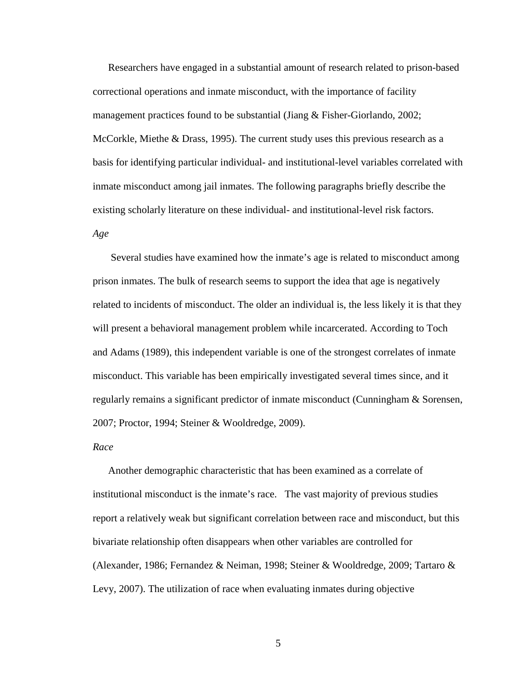Researchers have engaged in a substantial amount of research related to prison-based correctional operations and inmate misconduct, with the importance of facility management practices found to be substantial (Jiang & Fisher-Giorlando, 2002; McCorkle, Miethe & Drass, 1995). The current study uses this previous research as a basis for identifying particular individual- and institutional-level variables correlated with inmate misconduct among jail inmates. The following paragraphs briefly describe the existing scholarly literature on these individual- and institutional-level risk factors. *Age* 

Several studies have examined how the inmate's age is related to misconduct among prison inmates. The bulk of research seems to support the idea that age is negatively related to incidents of misconduct. The older an individual is, the less likely it is that they will present a behavioral management problem while incarcerated. According to Toch and Adams (1989), this independent variable is one of the strongest correlates of inmate misconduct. This variable has been empirically investigated several times since, and it regularly remains a significant predictor of inmate misconduct (Cunningham & Sorensen, 2007; Proctor, 1994; Steiner & Wooldredge, 2009).

#### *Race*

 Another demographic characteristic that has been examined as a correlate of institutional misconduct is the inmate's race. The vast majority of previous studies report a relatively weak but significant correlation between race and misconduct, but this bivariate relationship often disappears when other variables are controlled for (Alexander, 1986; Fernandez & Neiman, 1998; Steiner & Wooldredge, 2009; Tartaro & Levy, 2007). The utilization of race when evaluating inmates during objective

 $5<sub>5</sub>$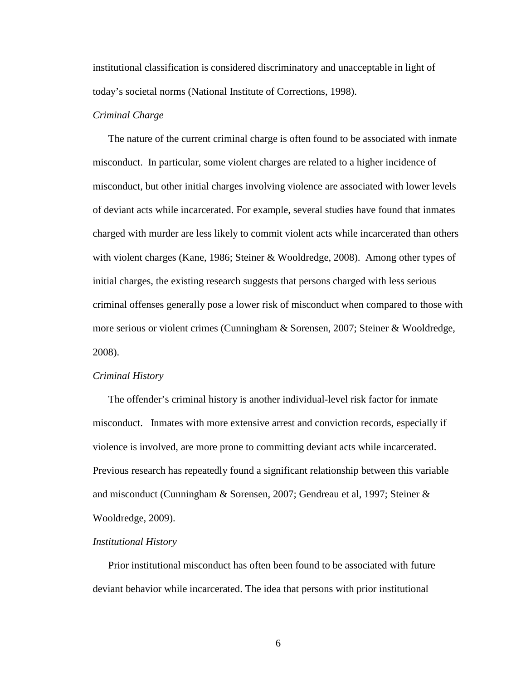institutional classification is considered discriminatory and unacceptable in light of today's societal norms (National Institute of Corrections, 1998).

#### *Criminal Charge*

The nature of the current criminal charge is often found to be associated with inmate misconduct. In particular, some violent charges are related to a higher incidence of misconduct, but other initial charges involving violence are associated with lower levels of deviant acts while incarcerated. For example, several studies have found that inmates charged with murder are less likely to commit violent acts while incarcerated than others with violent charges (Kane, 1986; Steiner & Wooldredge, 2008). Among other types of initial charges, the existing research suggests that persons charged with less serious criminal offenses generally pose a lower risk of misconduct when compared to those with more serious or violent crimes (Cunningham & Sorensen, 2007; Steiner & Wooldredge, 2008).

#### *Criminal History*

 The offender's criminal history is another individual-level risk factor for inmate misconduct. Inmates with more extensive arrest and conviction records, especially if violence is involved, are more prone to committing deviant acts while incarcerated. Previous research has repeatedly found a significant relationship between this variable and misconduct (Cunningham & Sorensen, 2007; Gendreau et al, 1997; Steiner & Wooldredge, 2009).

#### *Institutional History*

 Prior institutional misconduct has often been found to be associated with future deviant behavior while incarcerated. The idea that persons with prior institutional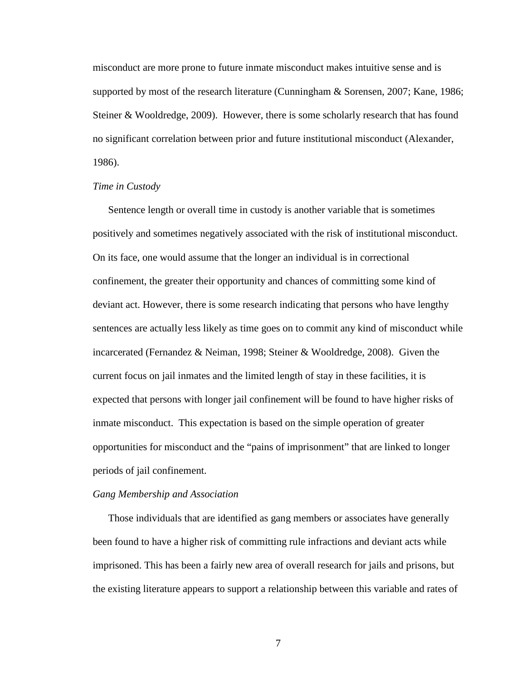misconduct are more prone to future inmate misconduct makes intuitive sense and is supported by most of the research literature (Cunningham & Sorensen, 2007; Kane, 1986; Steiner & Wooldredge, 2009). However, there is some scholarly research that has found no significant correlation between prior and future institutional misconduct (Alexander, 1986).

#### *Time in Custody*

 Sentence length or overall time in custody is another variable that is sometimes positively and sometimes negatively associated with the risk of institutional misconduct. On its face, one would assume that the longer an individual is in correctional confinement, the greater their opportunity and chances of committing some kind of deviant act. However, there is some research indicating that persons who have lengthy sentences are actually less likely as time goes on to commit any kind of misconduct while incarcerated (Fernandez & Neiman, 1998; Steiner & Wooldredge, 2008). Given the current focus on jail inmates and the limited length of stay in these facilities, it is expected that persons with longer jail confinement will be found to have higher risks of inmate misconduct. This expectation is based on the simple operation of greater opportunities for misconduct and the "pains of imprisonment" that are linked to longer periods of jail confinement.

#### *Gang Membership and Association*

Those individuals that are identified as gang members or associates have generally been found to have a higher risk of committing rule infractions and deviant acts while imprisoned. This has been a fairly new area of overall research for jails and prisons, but the existing literature appears to support a relationship between this variable and rates of

 $7\overline{ }$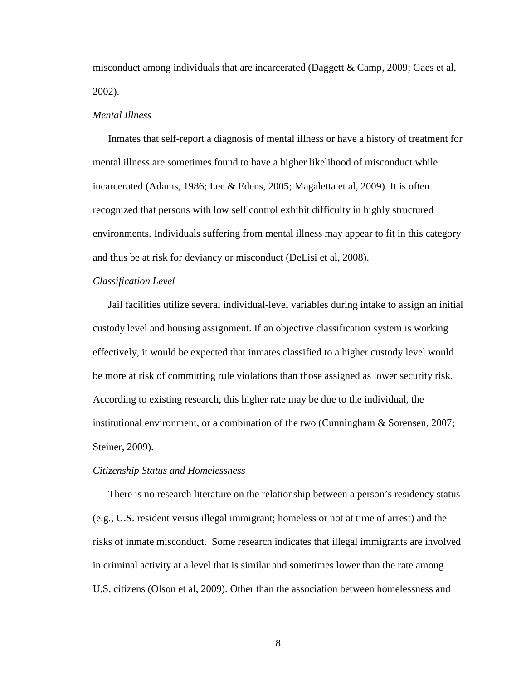misconduct among individuals that are incarcerated (Daggett & Camp, 2009; Gaes et al, 2002).

#### *Mental Illness*

 Inmates that self-report a diagnosis of mental illness or have a history of treatment for mental illness are sometimes found to have a higher likelihood of misconduct while incarcerated (Adams, 1986; Lee & Edens, 2005; Magaletta et al, 2009). It is often recognized that persons with low self control exhibit difficulty in highly structured environments. Individuals suffering from mental illness may appear to fit in this category and thus be at risk for deviancy or misconduct (DeLisi et al, 2008).

#### *Classification Level*

Jail facilities utilize several individual-level variables during intake to assign an initial custody level and housing assignment. If an objective classification system is working effectively, it would be expected that inmates classified to a higher custody level would be more at risk of committing rule violations than those assigned as lower security risk. According to existing research, this higher rate may be due to the individual, the institutional environment, or a combination of the two (Cunningham & Sorensen, 2007; Steiner, 2009).

#### *Citizenship Status and Homelessness*

There is no research literature on the relationship between a person's residency status (e.g., U.S. resident versus illegal immigrant; homeless or not at time of arrest) and the risks of inmate misconduct. Some research indicates that illegal immigrants are involved in criminal activity at a level that is similar and sometimes lower than the rate among U.S. citizens (Olson et al, 2009). Other than the association between homelessness and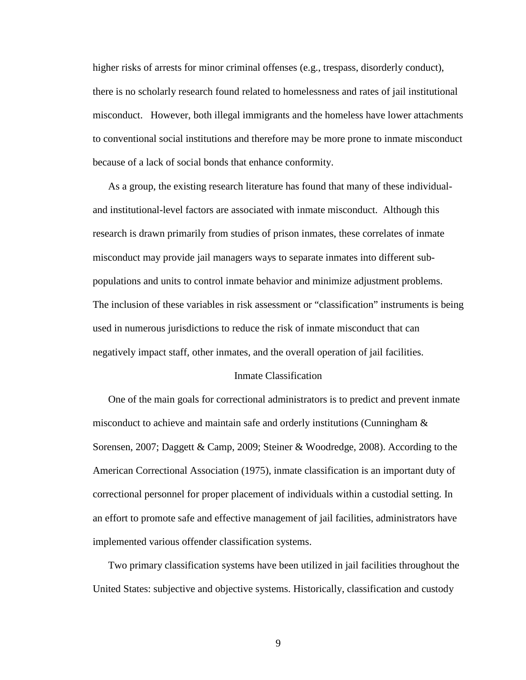higher risks of arrests for minor criminal offenses (e.g., trespass, disorderly conduct), there is no scholarly research found related to homelessness and rates of jail institutional misconduct. However, both illegal immigrants and the homeless have lower attachments to conventional social institutions and therefore may be more prone to inmate misconduct because of a lack of social bonds that enhance conformity.

 As a group, the existing research literature has found that many of these individualand institutional-level factors are associated with inmate misconduct. Although this research is drawn primarily from studies of prison inmates, these correlates of inmate misconduct may provide jail managers ways to separate inmates into different subpopulations and units to control inmate behavior and minimize adjustment problems. The inclusion of these variables in risk assessment or "classification" instruments is being used in numerous jurisdictions to reduce the risk of inmate misconduct that can negatively impact staff, other inmates, and the overall operation of jail facilities.

#### Inmate Classification

 One of the main goals for correctional administrators is to predict and prevent inmate misconduct to achieve and maintain safe and orderly institutions (Cunningham & Sorensen, 2007; Daggett & Camp, 2009; Steiner & Woodredge, 2008). According to the American Correctional Association (1975), inmate classification is an important duty of correctional personnel for proper placement of individuals within a custodial setting. In an effort to promote safe and effective management of jail facilities, administrators have implemented various offender classification systems.

 Two primary classification systems have been utilized in jail facilities throughout the United States: subjective and objective systems. Historically, classification and custody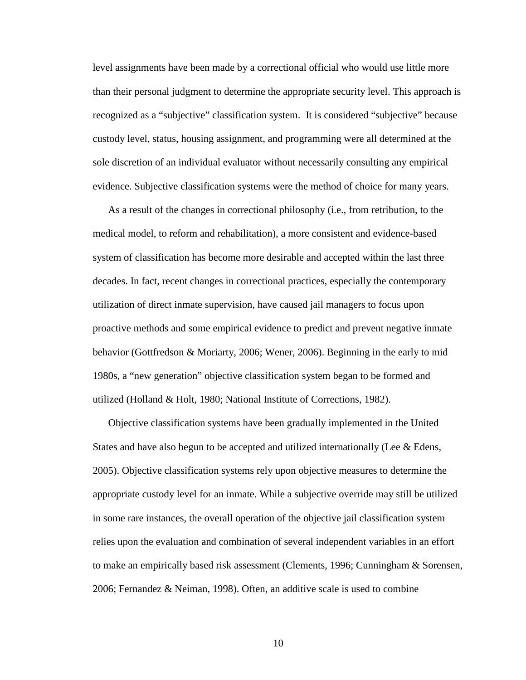level assignments have been made by a correctional official who would use little more than their personal judgment to determine the appropriate security level. This approach is recognized as a "subjective" classification system. It is considered "subjective" because custody level, status, housing assignment, and programming were all determined at the sole discretion of an individual evaluator without necessarily consulting any empirical evidence. Subjective classification systems were the method of choice for many years.

 As a result of the changes in correctional philosophy (i.e., from retribution, to the medical model, to reform and rehabilitation), a more consistent and evidence-based system of classification has become more desirable and accepted within the last three decades. In fact, recent changes in correctional practices, especially the contemporary utilization of direct inmate supervision, have caused jail managers to focus upon proactive methods and some empirical evidence to predict and prevent negative inmate behavior (Gottfredson & Moriarty, 2006; Wener, 2006). Beginning in the early to mid 1980s, a "new generation" objective classification system began to be formed and utilized (Holland & Holt, 1980; National Institute of Corrections, 1982).

 Objective classification systems have been gradually implemented in the United States and have also begun to be accepted and utilized internationally (Lee  $&$  Edens, 2005). Objective classification systems rely upon objective measures to determine the appropriate custody level for an inmate. While a subjective override may still be utilized in some rare instances, the overall operation of the objective jail classification system relies upon the evaluation and combination of several independent variables in an effort to make an empirically based risk assessment (Clements, 1996; Cunningham & Sorensen, 2006; Fernandez & Neiman, 1998). Often, an additive scale is used to combine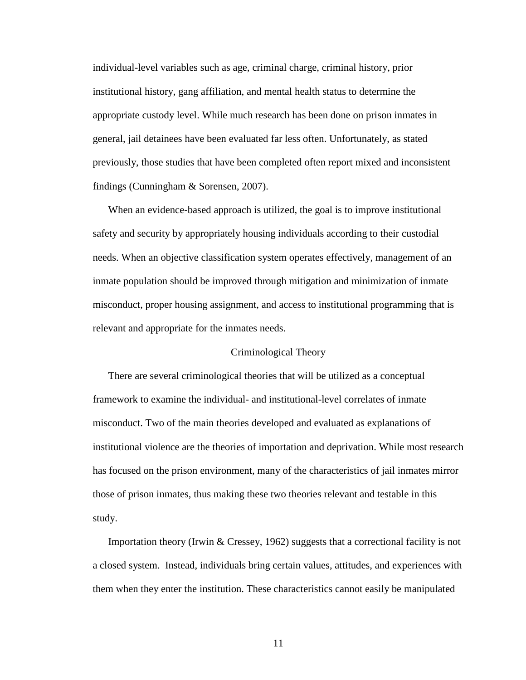individual-level variables such as age, criminal charge, criminal history, prior institutional history, gang affiliation, and mental health status to determine the appropriate custody level. While much research has been done on prison inmates in general, jail detainees have been evaluated far less often. Unfortunately, as stated previously, those studies that have been completed often report mixed and inconsistent findings (Cunningham & Sorensen, 2007).

 When an evidence-based approach is utilized, the goal is to improve institutional safety and security by appropriately housing individuals according to their custodial needs. When an objective classification system operates effectively, management of an inmate population should be improved through mitigation and minimization of inmate misconduct, proper housing assignment, and access to institutional programming that is relevant and appropriate for the inmates needs.

#### Criminological Theory

There are several criminological theories that will be utilized as a conceptual framework to examine the individual- and institutional-level correlates of inmate misconduct. Two of the main theories developed and evaluated as explanations of institutional violence are the theories of importation and deprivation. While most research has focused on the prison environment, many of the characteristics of jail inmates mirror those of prison inmates, thus making these two theories relevant and testable in this study.

 Importation theory (Irwin & Cressey, 1962) suggests that a correctional facility is not a closed system. Instead, individuals bring certain values, attitudes, and experiences with them when they enter the institution. These characteristics cannot easily be manipulated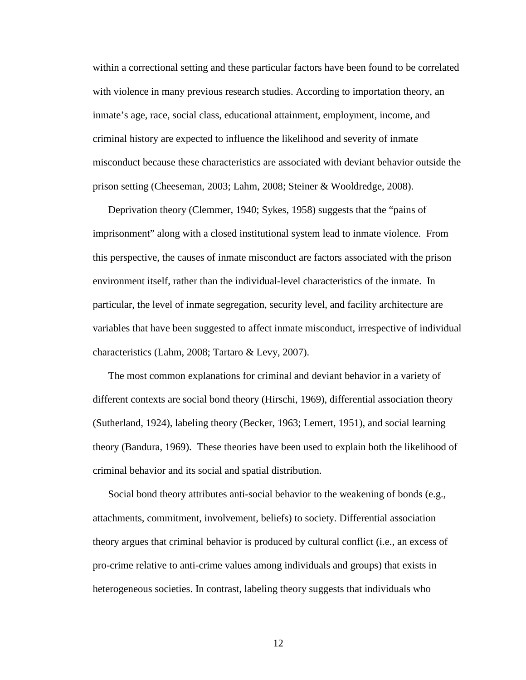within a correctional setting and these particular factors have been found to be correlated with violence in many previous research studies. According to importation theory, an inmate's age, race, social class, educational attainment, employment, income, and criminal history are expected to influence the likelihood and severity of inmate misconduct because these characteristics are associated with deviant behavior outside the prison setting (Cheeseman, 2003; Lahm, 2008; Steiner & Wooldredge, 2008).

 Deprivation theory (Clemmer, 1940; Sykes, 1958) suggests that the "pains of imprisonment" along with a closed institutional system lead to inmate violence. From this perspective, the causes of inmate misconduct are factors associated with the prison environment itself, rather than the individual-level characteristics of the inmate. In particular, the level of inmate segregation, security level, and facility architecture are variables that have been suggested to affect inmate misconduct, irrespective of individual characteristics (Lahm, 2008; Tartaro & Levy, 2007).

 The most common explanations for criminal and deviant behavior in a variety of different contexts are social bond theory (Hirschi, 1969), differential association theory (Sutherland, 1924), labeling theory (Becker, 1963; Lemert, 1951), and social learning theory (Bandura, 1969). These theories have been used to explain both the likelihood of criminal behavior and its social and spatial distribution.

 Social bond theory attributes anti-social behavior to the weakening of bonds (e.g., attachments, commitment, involvement, beliefs) to society. Differential association theory argues that criminal behavior is produced by cultural conflict (i.e., an excess of pro-crime relative to anti-crime values among individuals and groups) that exists in heterogeneous societies. In contrast, labeling theory suggests that individuals who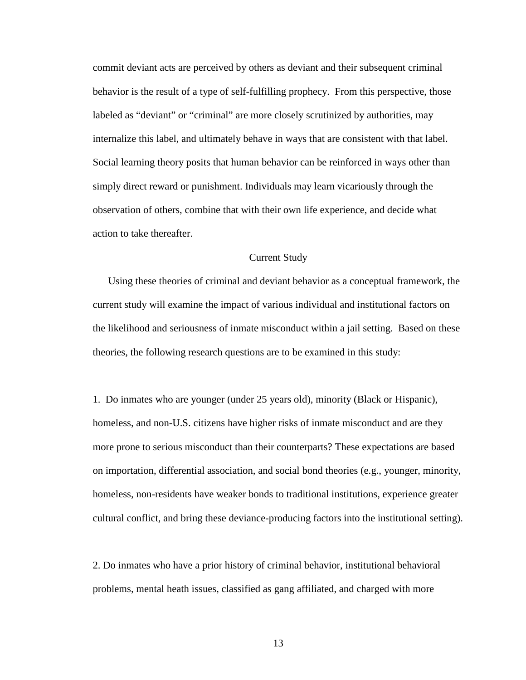commit deviant acts are perceived by others as deviant and their subsequent criminal behavior is the result of a type of self-fulfilling prophecy. From this perspective, those labeled as "deviant" or "criminal" are more closely scrutinized by authorities, may internalize this label, and ultimately behave in ways that are consistent with that label. Social learning theory posits that human behavior can be reinforced in ways other than simply direct reward or punishment. Individuals may learn vicariously through the observation of others, combine that with their own life experience, and decide what action to take thereafter.

#### Current Study

 Using these theories of criminal and deviant behavior as a conceptual framework, the current study will examine the impact of various individual and institutional factors on the likelihood and seriousness of inmate misconduct within a jail setting. Based on these theories, the following research questions are to be examined in this study:

1. Do inmates who are younger (under 25 years old), minority (Black or Hispanic), homeless, and non-U.S. citizens have higher risks of inmate misconduct and are they more prone to serious misconduct than their counterparts? These expectations are based on importation, differential association, and social bond theories (e.g., younger, minority, homeless, non-residents have weaker bonds to traditional institutions, experience greater cultural conflict, and bring these deviance-producing factors into the institutional setting).

2. Do inmates who have a prior history of criminal behavior, institutional behavioral problems, mental heath issues, classified as gang affiliated, and charged with more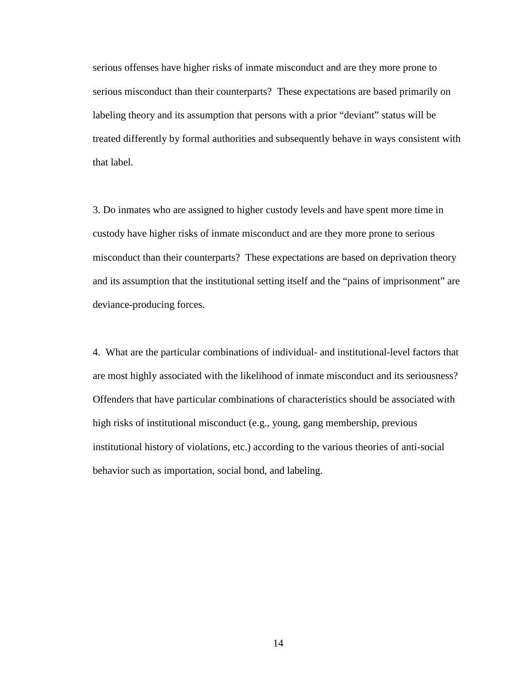serious offenses have higher risks of inmate misconduct and are they more prone to serious misconduct than their counterparts? These expectations are based primarily on labeling theory and its assumption that persons with a prior "deviant" status will be treated differently by formal authorities and subsequently behave in ways consistent with that label.

3. Do inmates who are assigned to higher custody levels and have spent more time in custody have higher risks of inmate misconduct and are they more prone to serious misconduct than their counterparts? These expectations are based on deprivation theory and its assumption that the institutional setting itself and the "pains of imprisonment" are deviance-producing forces.

4. What are the particular combinations of individual- and institutional-level factors that are most highly associated with the likelihood of inmate misconduct and its seriousness? Offenders that have particular combinations of characteristics should be associated with high risks of institutional misconduct (e.g., young, gang membership, previous institutional history of violations, etc.) according to the various theories of anti-social behavior such as importation, social bond, and labeling.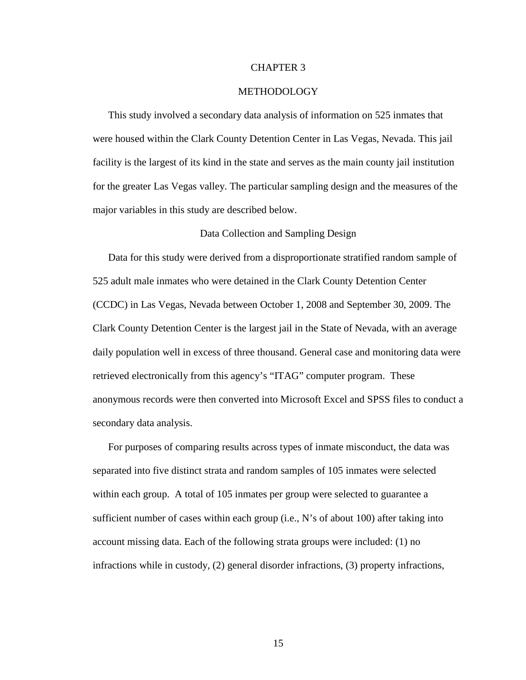#### CHAPTER 3

#### METHODOLOGY

 This study involved a secondary data analysis of information on 525 inmates that were housed within the Clark County Detention Center in Las Vegas, Nevada. This jail facility is the largest of its kind in the state and serves as the main county jail institution for the greater Las Vegas valley. The particular sampling design and the measures of the major variables in this study are described below.

#### Data Collection and Sampling Design

 Data for this study were derived from a disproportionate stratified random sample of 525 adult male inmates who were detained in the Clark County Detention Center (CCDC) in Las Vegas, Nevada between October 1, 2008 and September 30, 2009. The Clark County Detention Center is the largest jail in the State of Nevada, with an average daily population well in excess of three thousand. General case and monitoring data were retrieved electronically from this agency's "ITAG" computer program. These anonymous records were then converted into Microsoft Excel and SPSS files to conduct a secondary data analysis.

 For purposes of comparing results across types of inmate misconduct, the data was separated into five distinct strata and random samples of 105 inmates were selected within each group. A total of 105 inmates per group were selected to guarantee a sufficient number of cases within each group (i.e., N's of about 100) after taking into account missing data. Each of the following strata groups were included: (1) no infractions while in custody, (2) general disorder infractions, (3) property infractions,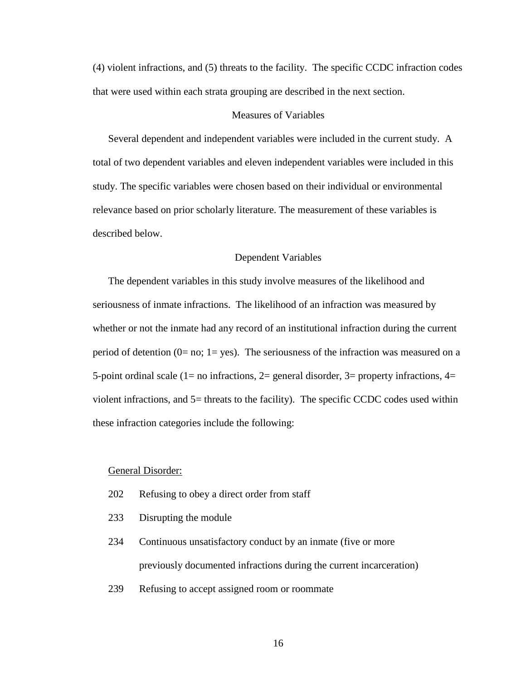(4) violent infractions, and (5) threats to the facility. The specific CCDC infraction codes that were used within each strata grouping are described in the next section.

#### Measures of Variables

 Several dependent and independent variables were included in the current study. A total of two dependent variables and eleven independent variables were included in this study. The specific variables were chosen based on their individual or environmental relevance based on prior scholarly literature. The measurement of these variables is described below.

#### Dependent Variables

The dependent variables in this study involve measures of the likelihood and seriousness of inmate infractions. The likelihood of an infraction was measured by whether or not the inmate had any record of an institutional infraction during the current period of detention ( $0=$  no;  $1=$  yes). The seriousness of the infraction was measured on a 5-point ordinal scale (1= no infractions, 2= general disorder, 3= property infractions,  $4=$ violent infractions, and 5= threats to the facility). The specific CCDC codes used within these infraction categories include the following:

#### General Disorder:

- 202 Refusing to obey a direct order from staff
- 233 Disrupting the module
- 234 Continuous unsatisfactory conduct by an inmate (five or more previously documented infractions during the current incarceration)
- 239 Refusing to accept assigned room or roommate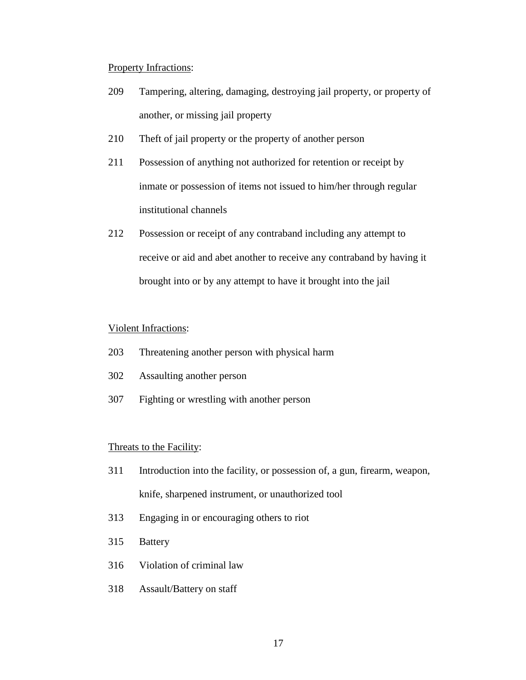#### Property Infractions:

- 209 Tampering, altering, damaging, destroying jail property, or property of another, or missing jail property
- 210 Theft of jail property or the property of another person
- 211 Possession of anything not authorized for retention or receipt by inmate or possession of items not issued to him/her through regular institutional channels
- 212 Possession or receipt of any contraband including any attempt to receive or aid and abet another to receive any contraband by having it brought into or by any attempt to have it brought into the jail

#### Violent Infractions:

- 203 Threatening another person with physical harm
- 302 Assaulting another person
- 307 Fighting or wrestling with another person

#### Threats to the Facility:

- 311 Introduction into the facility, or possession of, a gun, firearm, weapon, knife, sharpened instrument, or unauthorized tool
- 313 Engaging in or encouraging others to riot
- 315 Battery
- 316 Violation of criminal law
- 318 Assault/Battery on staff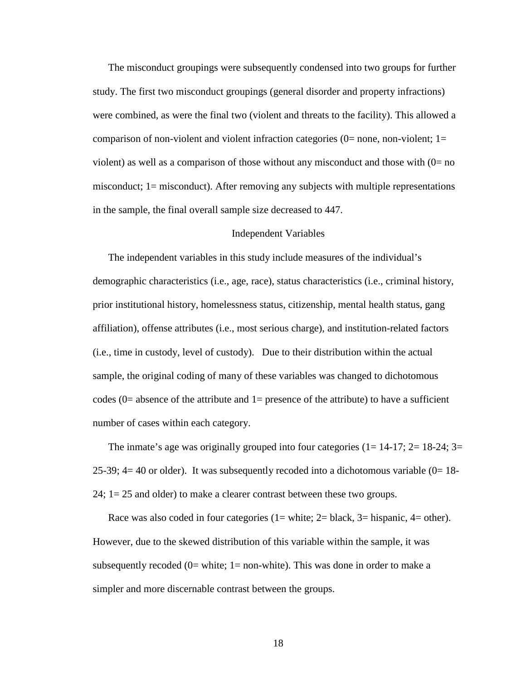The misconduct groupings were subsequently condensed into two groups for further study. The first two misconduct groupings (general disorder and property infractions) were combined, as were the final two (violent and threats to the facility). This allowed a comparison of non-violent and violent infraction categories ( $0=$  none, non-violent;  $1=$ violent) as well as a comparison of those without any misconduct and those with  $(0=$  no misconduct; 1= misconduct). After removing any subjects with multiple representations in the sample, the final overall sample size decreased to 447.

#### Independent Variables

The independent variables in this study include measures of the individual's demographic characteristics (i.e., age, race), status characteristics (i.e., criminal history, prior institutional history, homelessness status, citizenship, mental health status, gang affiliation), offense attributes (i.e., most serious charge), and institution-related factors (i.e., time in custody, level of custody). Due to their distribution within the actual sample, the original coding of many of these variables was changed to dichotomous codes ( $0=$  absence of the attribute and  $1=$  presence of the attribute) to have a sufficient number of cases within each category.

The inmate's age was originally grouped into four categories  $(1=14-17; 2=18-24; 3=$ 25-39; 4= 40 or older). It was subsequently recoded into a dichotomous variable  $(0=18-$ 24; 1= 25 and older) to make a clearer contrast between these two groups.

Race was also coded in four categories  $(1=$  white;  $2=$  black,  $3=$  hispanic,  $4=$  other). However, due to the skewed distribution of this variable within the sample, it was subsequently recoded ( $0=$  white; 1 = non-white). This was done in order to make a simpler and more discernable contrast between the groups.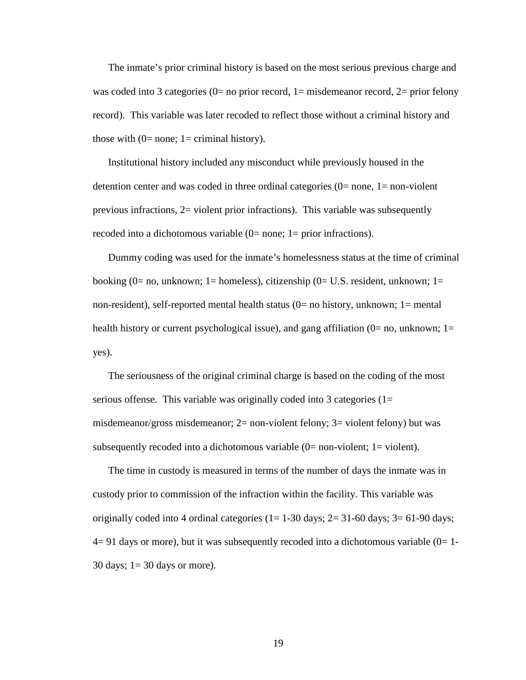The inmate's prior criminal history is based on the most serious previous charge and was coded into 3 categories ( $0=$  no prior record,  $1=$  misdemeanor record,  $2=$  prior felony record). This variable was later recoded to reflect those without a criminal history and those with  $(0=$  none; 1 = criminal history).

 Institutional history included any misconduct while previously housed in the detention center and was coded in three ordinal categories  $(0=$  none,  $1=$  non-violent previous infractions,  $2=$  violent prior infractions). This variable was subsequently recoded into a dichotomous variable  $(0=$  none; 1= prior infractions).

 Dummy coding was used for the inmate's homelessness status at the time of criminal booking (0= no, unknown; 1= homeless), citizenship (0= U.S. resident, unknown; 1= non-resident), self-reported mental health status (0= no history, unknown; 1= mental health history or current psychological issue), and gang affiliation  $(0=$  no, unknown;  $1=$ yes).

 The seriousness of the original criminal charge is based on the coding of the most serious offense. This variable was originally coded into 3 categories  $(1=$ misdemeanor/gross misdemeanor; 2= non-violent felony; 3= violent felony) but was subsequently recoded into a dichotomous variable  $(0=$  non-violent;  $1=$  violent).

 The time in custody is measured in terms of the number of days the inmate was in custody prior to commission of the infraction within the facility. This variable was originally coded into 4 ordinal categories  $(1=1-30 \text{ days}; 2=31-60 \text{ days}; 3=61-90 \text{ days};$  $4=91$  days or more), but it was subsequently recoded into a dichotomous variable  $(0=1-$ 30 days; 1= 30 days or more).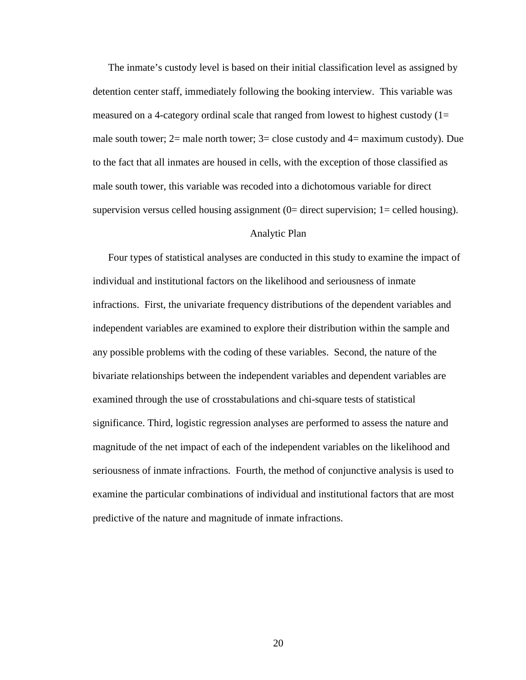The inmate's custody level is based on their initial classification level as assigned by detention center staff, immediately following the booking interview. This variable was measured on a 4-category ordinal scale that ranged from lowest to highest custody  $(1=$ male south tower;  $2=$  male north tower;  $3=$  close custody and  $4=$  maximum custody). Due to the fact that all inmates are housed in cells, with the exception of those classified as male south tower, this variable was recoded into a dichotomous variable for direct supervision versus celled housing assignment  $(0=$  direct supervision;  $1=$  celled housing).

#### Analytic Plan

 Four types of statistical analyses are conducted in this study to examine the impact of individual and institutional factors on the likelihood and seriousness of inmate infractions. First, the univariate frequency distributions of the dependent variables and independent variables are examined to explore their distribution within the sample and any possible problems with the coding of these variables. Second, the nature of the bivariate relationships between the independent variables and dependent variables are examined through the use of crosstabulations and chi-square tests of statistical significance. Third, logistic regression analyses are performed to assess the nature and magnitude of the net impact of each of the independent variables on the likelihood and seriousness of inmate infractions. Fourth, the method of conjunctive analysis is used to examine the particular combinations of individual and institutional factors that are most predictive of the nature and magnitude of inmate infractions.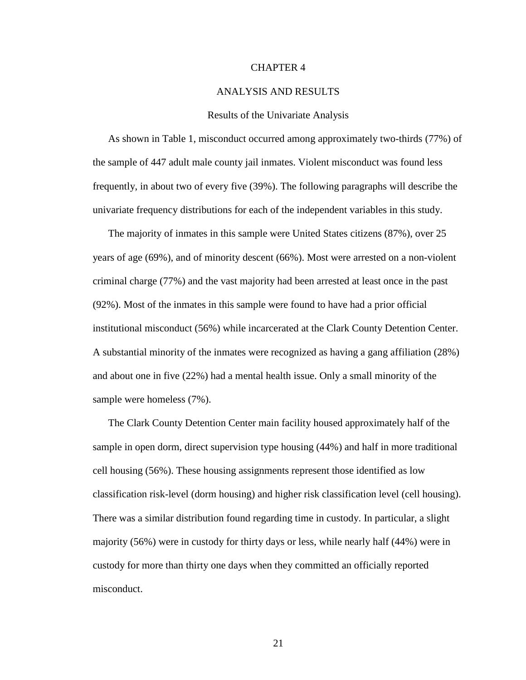#### CHAPTER 4

#### ANALYSIS AND RESULTS

#### Results of the Univariate Analysis

 As shown in Table 1, misconduct occurred among approximately two-thirds (77%) of the sample of 447 adult male county jail inmates. Violent misconduct was found less frequently, in about two of every five (39%). The following paragraphs will describe the univariate frequency distributions for each of the independent variables in this study.

 The majority of inmates in this sample were United States citizens (87%), over 25 years of age (69%), and of minority descent (66%). Most were arrested on a non-violent criminal charge (77%) and the vast majority had been arrested at least once in the past (92%). Most of the inmates in this sample were found to have had a prior official institutional misconduct (56%) while incarcerated at the Clark County Detention Center. A substantial minority of the inmates were recognized as having a gang affiliation (28%) and about one in five (22%) had a mental health issue. Only a small minority of the sample were homeless (7%).

 The Clark County Detention Center main facility housed approximately half of the sample in open dorm, direct supervision type housing (44%) and half in more traditional cell housing (56%). These housing assignments represent those identified as low classification risk-level (dorm housing) and higher risk classification level (cell housing). There was a similar distribution found regarding time in custody. In particular, a slight majority (56%) were in custody for thirty days or less, while nearly half (44%) were in custody for more than thirty one days when they committed an officially reported misconduct.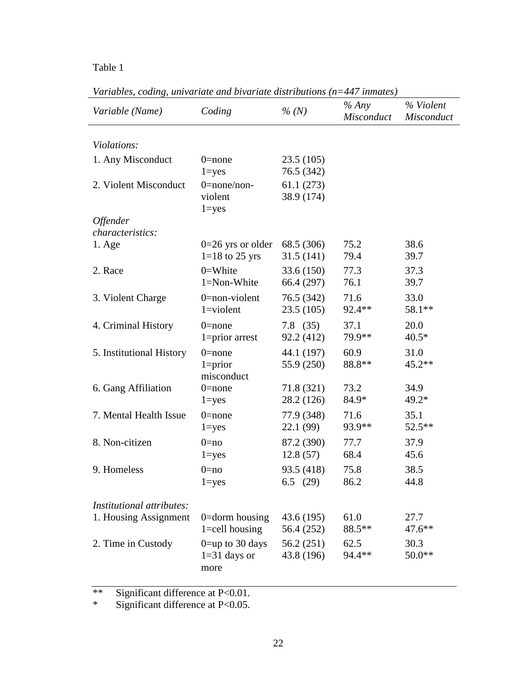| Variable (Name)                            | Coding                                        | $\%$ (N)                 | % Any<br>Misconduct | % Violent<br>Misconduct |
|--------------------------------------------|-----------------------------------------------|--------------------------|---------------------|-------------------------|
| Violations:                                |                                               |                          |                     |                         |
| 1. Any Misconduct                          | $0$ =none<br>$1 = yes$                        | 23.5(105)<br>76.5 (342)  |                     |                         |
| 2. Violent Misconduct                      | $0$ =none/non-<br>violent<br>$1 = yes$        | 61.1(273)<br>38.9 (174)  |                     |                         |
| <b>Offender</b><br><i>characteristics:</i> |                                               |                          |                     |                         |
| $1. \text{Age}$                            | $0=26$ yrs or older                           | 68.5 (306)               | 75.2                | 38.6                    |
|                                            | $1=18$ to 25 yrs                              | 31.5(141)                | 79.4                | 39.7                    |
| 2. Race                                    | $0 =$ White                                   | 33.6(150)                | 77.3                | 37.3                    |
|                                            | 1=Non-White                                   | 66.4 (297)               | 76.1                | 39.7                    |
| 3. Violent Charge                          | $0$ =non-violent                              | 76.5 (342)               | 71.6                | 33.0                    |
|                                            | $1 =$ violent                                 | 23.5(105)                | 92.4**              | 58.1**                  |
| 4. Criminal History                        | $0$ =none                                     | $7.8$ (35)               | 37.1                | 20.0                    |
|                                            | $1 = prior$ arrest                            | 92.2 (412)               | 79.9**              | $40.5*$                 |
| 5. Institutional History                   | $0$ =none<br>$1 = priori$<br>misconduct       | 44.1 (197)<br>55.9 (250) | 60.9<br>88.8**      | 31.0<br>$45.2**$        |
| 6. Gang Affiliation                        | $0$ =none                                     | 71.8 (321)               | 73.2                | 34.9                    |
|                                            | $1 = yes$                                     | 28.2 (126)               | 84.9*               | 49.2*                   |
| 7. Mental Health Issue                     | $0$ =none                                     | 77.9 (348)               | 71.6                | 35.1                    |
|                                            | $1 = yes$                                     | 22.1 (99)                | 93.9**              | 52.5**                  |
| 8. Non-citizen                             | $0 = no$                                      | 87.2 (390)               | 77.7                | 37.9                    |
|                                            | $1 = yes$                                     | 12.8(57)                 | 68.4                | 45.6                    |
| 9. Homeless                                | $0 = no$                                      | 93.5 (418)               | 75.8                | 38.5                    |
|                                            | $l = yes$                                     | 6.5 $(29)$               | 86.2                | 44.8                    |
| Institutional attributes:                  |                                               |                          |                     |                         |
| 1. Housing Assignment                      | 0=dorm housing                                | 43.6 (195)               | 61.0                | 27.7                    |
|                                            | $1 =$ cell housing                            | 56.4 (252)               | 88.5**              | $47.6***$               |
| 2. Time in Custody                         | $0 =$ up to 30 days<br>$1=31$ days or<br>more | 56.2(251)<br>43.8 (196)  | 62.5<br>94.4**      | 30.3<br>$50.0**$        |

*Variables, coding, univariate and bivariate distributions (n=447 inmates)*

\*\* Significant difference at P<0.01.

\* Significant difference at P<0.05.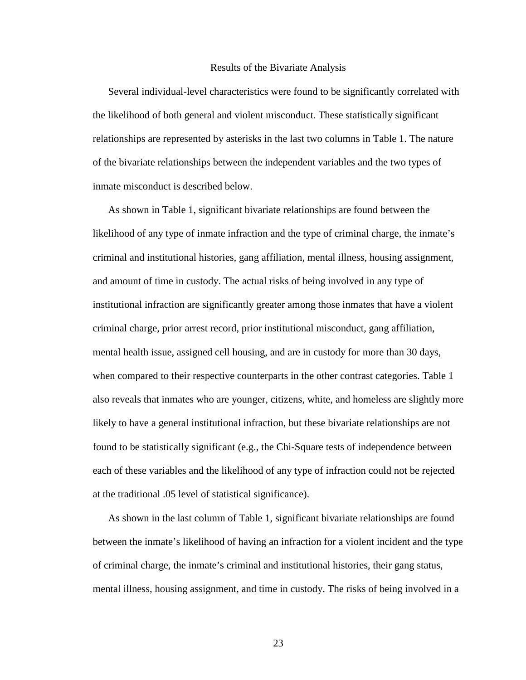#### Results of the Bivariate Analysis

Several individual-level characteristics were found to be significantly correlated with the likelihood of both general and violent misconduct. These statistically significant relationships are represented by asterisks in the last two columns in Table 1. The nature of the bivariate relationships between the independent variables and the two types of inmate misconduct is described below.

 As shown in Table 1, significant bivariate relationships are found between the likelihood of any type of inmate infraction and the type of criminal charge, the inmate's criminal and institutional histories, gang affiliation, mental illness, housing assignment, and amount of time in custody. The actual risks of being involved in any type of institutional infraction are significantly greater among those inmates that have a violent criminal charge, prior arrest record, prior institutional misconduct, gang affiliation, mental health issue, assigned cell housing, and are in custody for more than 30 days, when compared to their respective counterparts in the other contrast categories. Table 1 also reveals that inmates who are younger, citizens, white, and homeless are slightly more likely to have a general institutional infraction, but these bivariate relationships are not found to be statistically significant (e.g., the Chi-Square tests of independence between each of these variables and the likelihood of any type of infraction could not be rejected at the traditional .05 level of statistical significance).

 As shown in the last column of Table 1, significant bivariate relationships are found between the inmate's likelihood of having an infraction for a violent incident and the type of criminal charge, the inmate's criminal and institutional histories, their gang status, mental illness, housing assignment, and time in custody. The risks of being involved in a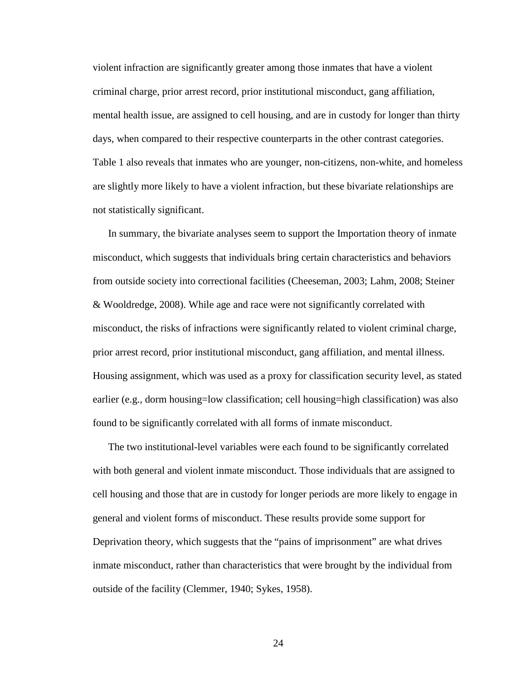violent infraction are significantly greater among those inmates that have a violent criminal charge, prior arrest record, prior institutional misconduct, gang affiliation, mental health issue, are assigned to cell housing, and are in custody for longer than thirty days, when compared to their respective counterparts in the other contrast categories. Table 1 also reveals that inmates who are younger, non-citizens, non-white, and homeless are slightly more likely to have a violent infraction, but these bivariate relationships are not statistically significant.

 In summary, the bivariate analyses seem to support the Importation theory of inmate misconduct, which suggests that individuals bring certain characteristics and behaviors from outside society into correctional facilities (Cheeseman, 2003; Lahm, 2008; Steiner & Wooldredge, 2008). While age and race were not significantly correlated with misconduct, the risks of infractions were significantly related to violent criminal charge, prior arrest record, prior institutional misconduct, gang affiliation, and mental illness. Housing assignment, which was used as a proxy for classification security level, as stated earlier (e.g., dorm housing=low classification; cell housing=high classification) was also found to be significantly correlated with all forms of inmate misconduct.

 The two institutional-level variables were each found to be significantly correlated with both general and violent inmate misconduct. Those individuals that are assigned to cell housing and those that are in custody for longer periods are more likely to engage in general and violent forms of misconduct. These results provide some support for Deprivation theory, which suggests that the "pains of imprisonment" are what drives inmate misconduct, rather than characteristics that were brought by the individual from outside of the facility (Clemmer, 1940; Sykes, 1958).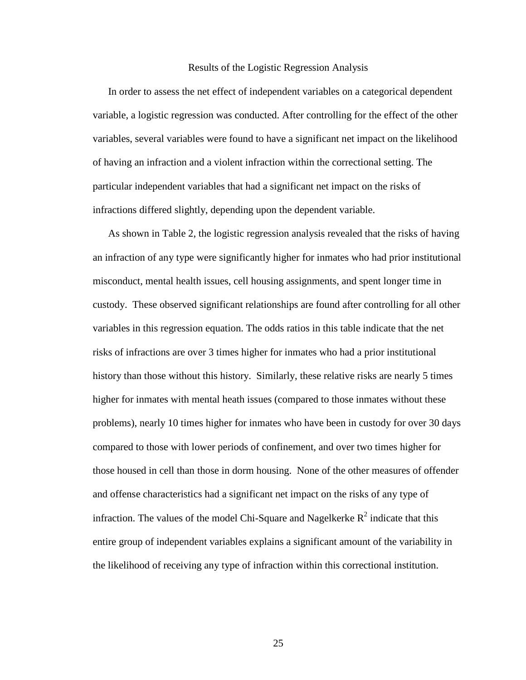#### Results of the Logistic Regression Analysis

 In order to assess the net effect of independent variables on a categorical dependent variable, a logistic regression was conducted. After controlling for the effect of the other variables, several variables were found to have a significant net impact on the likelihood of having an infraction and a violent infraction within the correctional setting. The particular independent variables that had a significant net impact on the risks of infractions differed slightly, depending upon the dependent variable.

 As shown in Table 2, the logistic regression analysis revealed that the risks of having an infraction of any type were significantly higher for inmates who had prior institutional misconduct, mental health issues, cell housing assignments, and spent longer time in custody. These observed significant relationships are found after controlling for all other variables in this regression equation. The odds ratios in this table indicate that the net risks of infractions are over 3 times higher for inmates who had a prior institutional history than those without this history. Similarly, these relative risks are nearly 5 times higher for inmates with mental heath issues (compared to those inmates without these problems), nearly 10 times higher for inmates who have been in custody for over 30 days compared to those with lower periods of confinement, and over two times higher for those housed in cell than those in dorm housing. None of the other measures of offender and offense characteristics had a significant net impact on the risks of any type of infraction. The values of the model Chi-Square and Nagelkerke  $R^2$  indicate that this entire group of independent variables explains a significant amount of the variability in the likelihood of receiving any type of infraction within this correctional institution.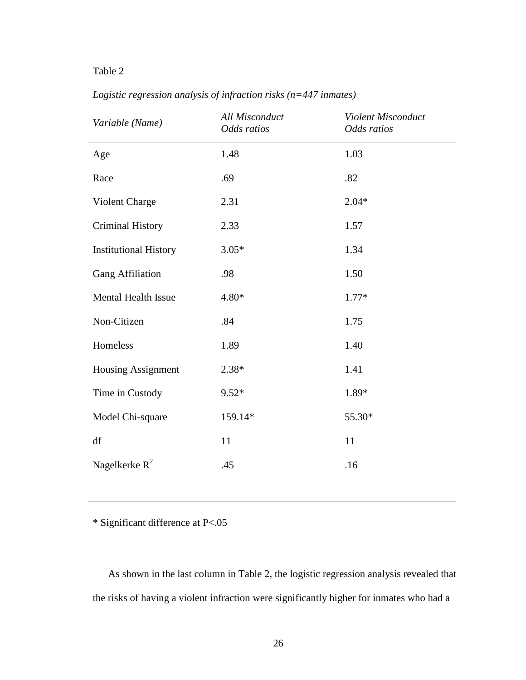| Variable (Name)              | All Misconduct<br>Odds ratios | Violent Misconduct<br>Odds ratios |
|------------------------------|-------------------------------|-----------------------------------|
| Age                          | 1.48                          | 1.03                              |
| Race                         | .69                           | .82                               |
| Violent Charge               | 2.31                          | $2.04*$                           |
| <b>Criminal History</b>      | 2.33                          | 1.57                              |
| <b>Institutional History</b> | $3.05*$                       | 1.34                              |
| <b>Gang Affiliation</b>      | .98                           | 1.50                              |
| <b>Mental Health Issue</b>   | 4.80*                         | $1.77*$                           |
| Non-Citizen                  | .84                           | 1.75                              |
| Homeless                     | 1.89                          | 1.40                              |
| Housing Assignment           | $2.38*$                       | 1.41                              |
| Time in Custody              | $9.52*$                       | 1.89*                             |
| Model Chi-square             | 159.14*                       | 55.30*                            |
| df                           | 11                            | 11                                |
| Nagelkerke $R^2$             | .45                           | .16                               |

*Logistic regression analysis of infraction risks (n=447 inmates)*

\* Significant difference at P<.05

 As shown in the last column in Table 2, the logistic regression analysis revealed that the risks of having a violent infraction were significantly higher for inmates who had a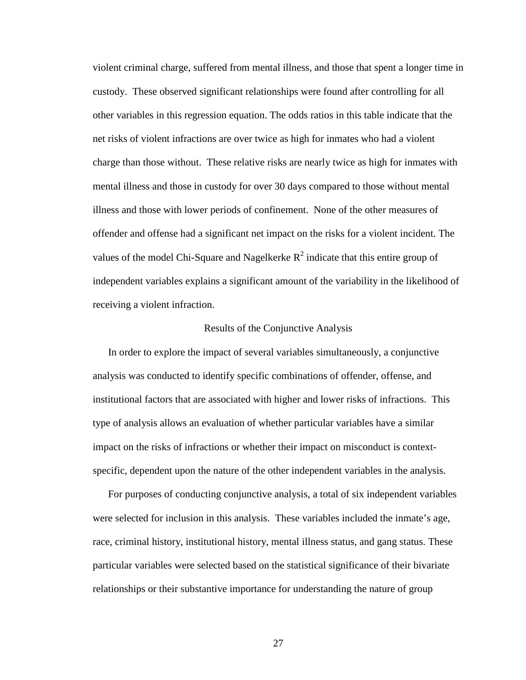violent criminal charge, suffered from mental illness, and those that spent a longer time in custody. These observed significant relationships were found after controlling for all other variables in this regression equation. The odds ratios in this table indicate that the net risks of violent infractions are over twice as high for inmates who had a violent charge than those without. These relative risks are nearly twice as high for inmates with mental illness and those in custody for over 30 days compared to those without mental illness and those with lower periods of confinement. None of the other measures of offender and offense had a significant net impact on the risks for a violent incident. The values of the model Chi-Square and Nagelkerke  $R^2$  indicate that this entire group of independent variables explains a significant amount of the variability in the likelihood of receiving a violent infraction.

#### Results of the Conjunctive Analysis

 In order to explore the impact of several variables simultaneously, a conjunctive analysis was conducted to identify specific combinations of offender, offense, and institutional factors that are associated with higher and lower risks of infractions. This type of analysis allows an evaluation of whether particular variables have a similar impact on the risks of infractions or whether their impact on misconduct is contextspecific, dependent upon the nature of the other independent variables in the analysis.

 For purposes of conducting conjunctive analysis, a total of six independent variables were selected for inclusion in this analysis. These variables included the inmate's age, race, criminal history, institutional history, mental illness status, and gang status. These particular variables were selected based on the statistical significance of their bivariate relationships or their substantive importance for understanding the nature of group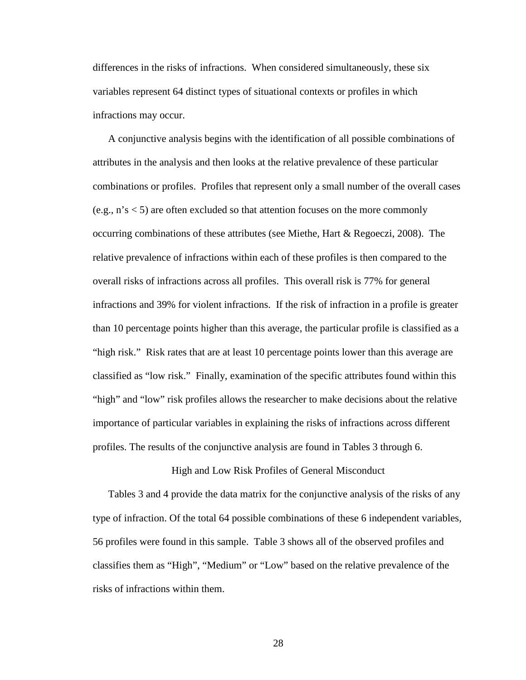differences in the risks of infractions. When considered simultaneously, these six variables represent 64 distinct types of situational contexts or profiles in which infractions may occur.

 A conjunctive analysis begins with the identification of all possible combinations of attributes in the analysis and then looks at the relative prevalence of these particular combinations or profiles. Profiles that represent only a small number of the overall cases (e.g., n's < 5) are often excluded so that attention focuses on the more commonly occurring combinations of these attributes (see Miethe, Hart & Regoeczi, 2008). The relative prevalence of infractions within each of these profiles is then compared to the overall risks of infractions across all profiles. This overall risk is 77% for general infractions and 39% for violent infractions. If the risk of infraction in a profile is greater than 10 percentage points higher than this average, the particular profile is classified as a "high risk." Risk rates that are at least 10 percentage points lower than this average are classified as "low risk." Finally, examination of the specific attributes found within this "high" and "low" risk profiles allows the researcher to make decisions about the relative importance of particular variables in explaining the risks of infractions across different profiles. The results of the conjunctive analysis are found in Tables 3 through 6.

#### High and Low Risk Profiles of General Misconduct

 Tables 3 and 4 provide the data matrix for the conjunctive analysis of the risks of any type of infraction. Of the total 64 possible combinations of these 6 independent variables, 56 profiles were found in this sample. Table 3 shows all of the observed profiles and classifies them as "High", "Medium" or "Low" based on the relative prevalence of the risks of infractions within them.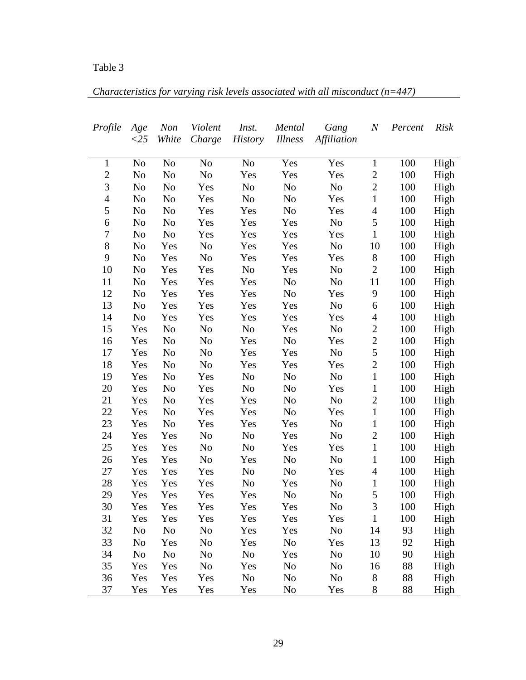| Characteristics for varying risk levels associated with all misconduct $(n=447)$ |  |  |  |
|----------------------------------------------------------------------------------|--|--|--|
|                                                                                  |  |  |  |

| Profile        | Age            | <b>Non</b>     | Violent        | Inst.          | Mental         | Gang           | $\boldsymbol{N}$ | Percent | <b>Risk</b> |
|----------------|----------------|----------------|----------------|----------------|----------------|----------------|------------------|---------|-------------|
|                | $\langle 25$   | White          | Charge         | <b>History</b> | <i>Illness</i> | Affiliation    |                  |         |             |
| $\mathbf{1}$   | N <sub>o</sub> | N <sub>o</sub> | N <sub>o</sub> | N <sub>0</sub> | Yes            | Yes            | $\mathbf{1}$     | 100     | High        |
| $\overline{c}$ | No             | No             | N <sub>0</sub> | Yes            | Yes            | Yes            | $\mathbf{2}$     | 100     | High        |
| 3              | No             | No             | Yes            | N <sub>0</sub> | N <sub>0</sub> | N <sub>0</sub> | $\overline{2}$   | 100     | High        |
| $\overline{4}$ | No             | No             | Yes            | N <sub>0</sub> | N <sub>0</sub> | Yes            | $\mathbf{1}$     | 100     | High        |
| $\mathfrak s$  | No             | No             | Yes            | Yes            | N <sub>0</sub> | Yes            | $\overline{4}$   | 100     | High        |
| 6              | N <sub>0</sub> | No             | Yes            | Yes            | Yes            | No             | 5                | 100     | High        |
| 7              | No             | No             | Yes            | Yes            | Yes            | Yes            | $\mathbf{1}$     | 100     | High        |
| $8\,$          | No             | Yes            | N <sub>0</sub> | Yes            | Yes            | N <sub>0</sub> | 10               | 100     | High        |
| 9              | No             | Yes            | N <sub>0</sub> | Yes            | Yes            | Yes            | $8\,$            | 100     | High        |
| 10             | No             | Yes            | Yes            | N <sub>0</sub> | Yes            | N <sub>0</sub> | $\mathbf{2}$     | 100     | High        |
| 11             | No             | Yes            | Yes            | Yes            | N <sub>0</sub> | N <sub>0</sub> | 11               | 100     | High        |
| 12             | N <sub>0</sub> | Yes            | Yes            | Yes            | N <sub>0</sub> | Yes            | 9                | 100     | High        |
| 13             | N <sub>0</sub> | Yes            | Yes            | Yes            | Yes            | No             | 6                | 100     | High        |
| 14             | N <sub>0</sub> | Yes            | Yes            | Yes            | Yes            | Yes            | $\overline{4}$   | 100     | High        |
| 15             | Yes            | No             | N <sub>0</sub> | No             | Yes            | N <sub>0</sub> | $\overline{2}$   | 100     | High        |
| 16             | Yes            | No             | N <sub>0</sub> | Yes            | No             | Yes            | $\overline{c}$   | 100     | High        |
| 17             | Yes            | No             | N <sub>0</sub> | Yes            | Yes            | N <sub>0</sub> | 5                | 100     | High        |
| 18             | Yes            | No             | N <sub>0</sub> | Yes            | Yes            | Yes            | $\overline{2}$   | 100     | High        |
| 19             | Yes            | N <sub>0</sub> | Yes            | No             | N <sub>0</sub> | No             | $\mathbf{1}$     | 100     | High        |
| 20             | Yes            | N <sub>0</sub> | Yes            | N <sub>0</sub> | N <sub>0</sub> | Yes            | $\mathbf{1}$     | 100     | High        |
| 21             | Yes            | N <sub>0</sub> | Yes            | Yes            | N <sub>0</sub> | N <sub>0</sub> | $\overline{2}$   | 100     | High        |
| 22             | Yes            | N <sub>0</sub> | Yes            | Yes            | N <sub>0</sub> | Yes            | $\mathbf{1}$     | 100     | High        |
| 23             | Yes            | N <sub>0</sub> | Yes            | Yes            | Yes            | No             | $\mathbf 1$      | 100     | High        |
| 24             | Yes            | Yes            | N <sub>0</sub> | No             | Yes            | N <sub>0</sub> | $\sqrt{2}$       | 100     | High        |
| 25             | Yes            | Yes            | N <sub>0</sub> | No             | Yes            | Yes            | $\mathbf{1}$     | 100     | High        |
| 26             | Yes            | Yes            | N <sub>0</sub> | Yes            | N <sub>0</sub> | No             | $\mathbf{1}$     | 100     | High        |
| 27             | Yes            | Yes            | Yes            | N <sub>o</sub> | N <sub>0</sub> | Yes            | $\overline{4}$   | 100     | High        |
| 28             | Yes            | Yes            | Yes            | No             | Yes            | No             | $\mathbf{1}$     | 100     | High        |
| 29             | Yes            | Yes            | Yes            | Yes            | No             | No             | 5                | 100     | High        |
| 30             | Yes            | Yes            | Yes            | Yes            | Yes            | No             | $\mathfrak{Z}$   | 100     | High        |
| 31             | Yes            | Yes            | Yes            | Yes            | Yes            | Yes            | $\mathbf{1}$     | 100     | High        |
| 32             | N <sub>o</sub> | N <sub>o</sub> | N <sub>o</sub> | Yes            | Yes            | N <sub>o</sub> | 14               | 93      | High        |
| 33             | N <sub>0</sub> | Yes            | N <sub>o</sub> | Yes            | N <sub>0</sub> | Yes            | 13               | 92      | High        |
| 34             | No             | N <sub>o</sub> | No             | No             | Yes            | No             | 10               | 90      | High        |
| 35             | Yes            | Yes            | No             | Yes            | N <sub>0</sub> | No             | 16               | 88      | High        |
| 36             | Yes            | Yes            | Yes            | N <sub>0</sub> | N <sub>0</sub> | N <sub>o</sub> | 8                | 88      | High        |
| 37             | Yes            | Yes            | Yes            | Yes            | No             | Yes            | 8                | 88      | High        |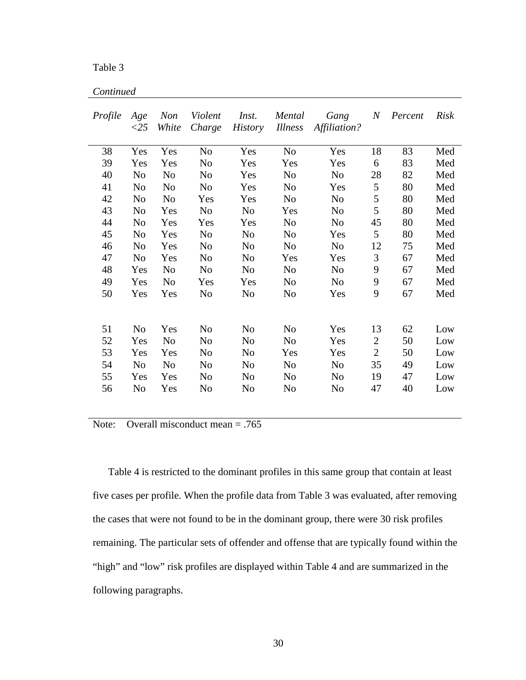| Continued |
|-----------|
|           |

| Profile | Age<br>$\langle 25$ | <b>Non</b><br>White | Violent<br>Charge | Inst.<br><b>History</b> | Mental<br><b>Illness</b> | Gang<br>Affiliation? | $\it N$        | Percent | <b>Risk</b> |
|---------|---------------------|---------------------|-------------------|-------------------------|--------------------------|----------------------|----------------|---------|-------------|
| 38      | Yes                 | Yes                 | N <sub>0</sub>    | Yes                     | N <sub>o</sub>           | Yes                  | 18             | 83      | Med         |
| 39      | Yes                 | Yes                 | N <sub>0</sub>    | Yes                     | Yes                      | Yes                  | 6              | 83      | Med         |
| 40      | N <sub>0</sub>      | N <sub>o</sub>      | N <sub>0</sub>    | Yes                     | N <sub>o</sub>           | N <sub>o</sub>       | 28             | 82      | Med         |
| 41      | No                  | No                  | No                | Yes                     | No                       | Yes                  | 5              | 80      | Med         |
| 42      | N <sub>0</sub>      | N <sub>0</sub>      | Yes               | Yes                     | N <sub>0</sub>           | N <sub>o</sub>       | 5              | 80      | Med         |
| 43      | N <sub>0</sub>      | Yes                 | N <sub>0</sub>    | N <sub>o</sub>          | Yes                      | N <sub>o</sub>       | 5              | 80      | Med         |
| 44      | N <sub>o</sub>      | Yes                 | Yes               | Yes                     | N <sub>o</sub>           | N <sub>o</sub>       | 45             | 80      | Med         |
| 45      | N <sub>0</sub>      | Yes                 | N <sub>0</sub>    | N <sub>o</sub>          | No                       | Yes                  | 5              | 80      | Med         |
| 46      | N <sub>o</sub>      | Yes                 | N <sub>o</sub>    | N <sub>o</sub>          | N <sub>o</sub>           | N <sub>o</sub>       | 12             | 75      | Med         |
| 47      | N <sub>0</sub>      | Yes                 | N <sub>0</sub>    | N <sub>o</sub>          | Yes                      | Yes                  | 3              | 67      | Med         |
| 48      | Yes                 | N <sub>o</sub>      | N <sub>o</sub>    | N <sub>o</sub>          | N <sub>o</sub>           | N <sub>o</sub>       | 9              | 67      | Med         |
| 49      | Yes                 | N <sub>0</sub>      | Yes               | Yes                     | No                       | N <sub>0</sub>       | 9              | 67      | Med         |
| 50      | Yes                 | Yes                 | N <sub>o</sub>    | N <sub>o</sub>          | N <sub>0</sub>           | Yes                  | 9              | 67      | Med         |
| 51      | N <sub>0</sub>      | Yes                 | N <sub>o</sub>    | No                      | No                       | Yes                  | 13             | 62      | Low         |
| 52      | Yes                 | N <sub>o</sub>      | N <sub>0</sub>    | N <sub>0</sub>          | N <sub>0</sub>           | Yes                  | $\overline{2}$ | 50      | Low         |
| 53      | Yes                 | Yes                 | N <sub>0</sub>    | N <sub>o</sub>          | Yes                      | Yes                  | $\overline{2}$ | 50      | Low         |
| 54      | N <sub>o</sub>      | N <sub>o</sub>      | No                | N <sub>0</sub>          | N <sub>0</sub>           | N <sub>o</sub>       | 35             | 49      | Low         |
| 55      | Yes                 | Yes                 | N <sub>0</sub>    | N <sub>o</sub>          | N <sub>0</sub>           | N <sub>o</sub>       | 19             | 47      | Low         |
| 56      | N <sub>0</sub>      | Yes                 | No                | No                      | No                       | No                   | 47             | 40      | Low         |

Note: Overall misconduct mean = .765

 Table 4 is restricted to the dominant profiles in this same group that contain at least five cases per profile. When the profile data from Table 3 was evaluated, after removing the cases that were not found to be in the dominant group, there were 30 risk profiles remaining. The particular sets of offender and offense that are typically found within the "high" and "low" risk profiles are displayed within Table 4 and are summarized in the following paragraphs.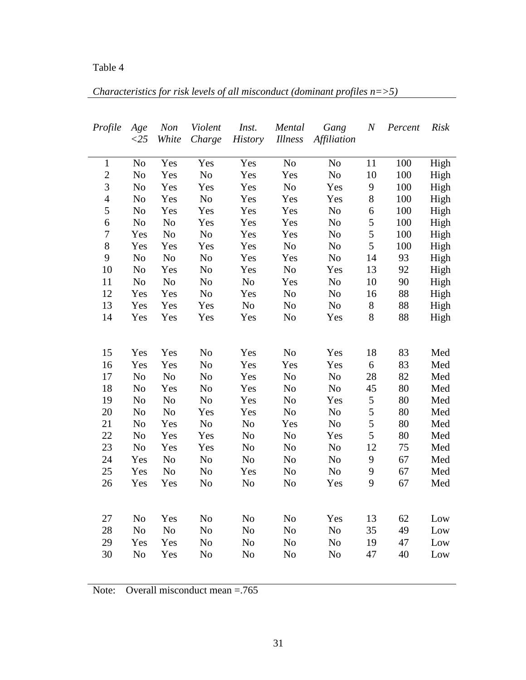| Characteristics for risk levels of all misconduct (dominant profiles $n = > 5$ ) |  |  |  |
|----------------------------------------------------------------------------------|--|--|--|
|                                                                                  |  |  |  |

L.

| Profile          | Age            | Non            | Violent        | Inst.          | Mental         | Gang               | $\boldsymbol{N}$ | Percent | <b>Risk</b> |
|------------------|----------------|----------------|----------------|----------------|----------------|--------------------|------------------|---------|-------------|
|                  | $<$ 25         | White          | Charge         | <b>History</b> | <b>Illness</b> | <b>Affiliation</b> |                  |         |             |
| $\mathbf{1}$     | No             | Yes            | Yes            | Yes            | N <sub>o</sub> | N <sub>o</sub>     | 11               | 100     | High        |
| $\overline{c}$   | N <sub>o</sub> | Yes            | $\rm No$       | Yes            | Yes            | No                 | 10               | 100     | High        |
| $\mathfrak{Z}$   | N <sub>o</sub> | Yes            | Yes            | Yes            | $\rm No$       | Yes                | 9                | 100     | High        |
| $\overline{4}$   | No             | Yes            | No             | Yes            | Yes            | Yes                | $\,8$            | 100     | High        |
| 5                | No             | Yes            | Yes            | Yes            | Yes            | No                 | 6                | 100     | High        |
| 6                | No             | No             | Yes            | Yes            | Yes            | No                 | 5                | 100     | High        |
| $\boldsymbol{7}$ | Yes            | No             | No             | Yes            | Yes            | No                 | 5                | 100     | High        |
| 8                | Yes            | Yes            | Yes            | Yes            | No             | No                 | 5                | 100     | High        |
| 9                | No             | $\rm No$       | No             | Yes            | Yes            | N <sub>o</sub>     | 14               | 93      | High        |
| 10               | No             | Yes            | No             | Yes            | No             | Yes                | 13               | 92      | High        |
| 11               | No             | No             | No             | No             | Yes            | No                 | 10               | 90      | High        |
| 12               | Yes            | Yes            | N <sub>o</sub> | Yes            | N <sub>o</sub> | N <sub>o</sub>     | 16               | 88      | High        |
| 13               | Yes            | Yes            | Yes            | N <sub>o</sub> | No             | N <sub>o</sub>     | $8\,$            | 88      | High        |
| 14               | Yes            | Yes            | Yes            | Yes            | N <sub>o</sub> | Yes                | 8                | 88      | High        |
|                  |                |                |                |                |                |                    |                  |         |             |
| 15               | Yes            | Yes            | No             | Yes            | N <sub>o</sub> | Yes                | 18               | 83      | Med         |
| 16               | Yes            | Yes            | No             | Yes            | Yes            | Yes                | 6                | 83      | Med         |
| 17               | No             | N <sub>o</sub> | No             | Yes            | No             | No                 | 28               | 82      | Med         |
| 18               | N <sub>o</sub> | Yes            | N <sub>o</sub> | Yes            | N <sub>o</sub> | N <sub>o</sub>     | 45               | 80      | Med         |
| 19               | No             | No             | N <sub>o</sub> | Yes            | No             | Yes                | $\mathfrak s$    | 80      | Med         |
| 20               | No             | No             | Yes            | Yes            | No             | No                 | 5                | 80      | Med         |
| 21               | No             | Yes            | No             | No             | Yes            | No                 | 5                | 80      | Med         |
| 22               | N <sub>o</sub> | Yes            | Yes            | N <sub>o</sub> | N <sub>o</sub> | Yes                | 5                | 80      | Med         |
| 23               | N <sub>o</sub> | Yes            | Yes            | N <sub>o</sub> | N <sub>o</sub> | N <sub>o</sub>     | 12               | 75      | Med         |
| 24               | Yes            | No             | No             | N <sub>o</sub> | No             | No                 | 9                | 67      | Med         |
| 25               | Yes            | N <sub>o</sub> | N <sub>o</sub> | Yes            | N <sub>o</sub> | No                 | 9                | 67      | Med         |
| 26               | Yes            | Yes            | N <sub>o</sub> | N <sub>o</sub> | N <sub>o</sub> | Yes                | 9                | 67      | Med         |
|                  |                |                |                |                |                |                    |                  |         |             |
| 27               | N <sub>o</sub> | Yes            | No             | No             | N <sub>o</sub> | Yes                | 13               | 62      | Low         |
| 28               | N <sub>o</sub> | N <sub>o</sub> | N <sub>o</sub> | N <sub>o</sub> | No             | No                 | 35               | 49      | Low         |
| 29               | Yes            | Yes            | N <sub>o</sub> | No             | No             | No                 | 19               | 47      | Low         |
| 30               | No             | Yes            | N <sub>o</sub> | N <sub>o</sub> | No             | No                 | 47               | 40      | Low         |
|                  |                |                |                |                |                |                    |                  |         |             |

Note: Overall misconduct mean = 765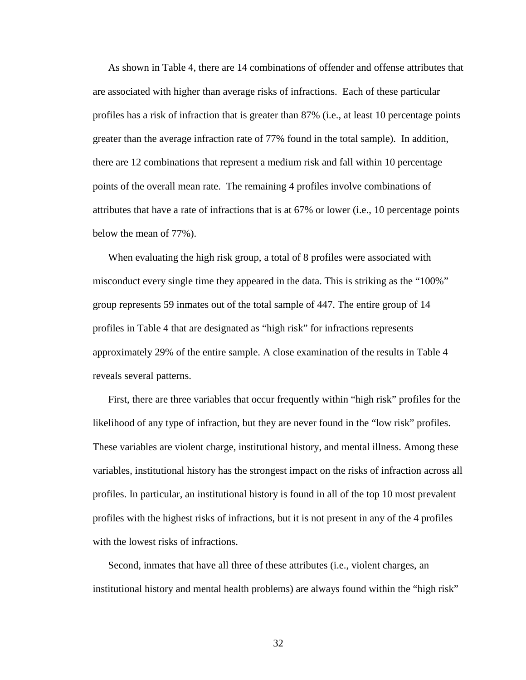As shown in Table 4, there are 14 combinations of offender and offense attributes that are associated with higher than average risks of infractions. Each of these particular profiles has a risk of infraction that is greater than 87% (i.e., at least 10 percentage points greater than the average infraction rate of 77% found in the total sample). In addition, there are 12 combinations that represent a medium risk and fall within 10 percentage points of the overall mean rate. The remaining 4 profiles involve combinations of attributes that have a rate of infractions that is at 67% or lower (i.e., 10 percentage points below the mean of 77%).

 When evaluating the high risk group, a total of 8 profiles were associated with misconduct every single time they appeared in the data. This is striking as the "100%" group represents 59 inmates out of the total sample of 447. The entire group of 14 profiles in Table 4 that are designated as "high risk" for infractions represents approximately 29% of the entire sample. A close examination of the results in Table 4 reveals several patterns.

 First, there are three variables that occur frequently within "high risk" profiles for the likelihood of any type of infraction, but they are never found in the "low risk" profiles. These variables are violent charge, institutional history, and mental illness. Among these variables, institutional history has the strongest impact on the risks of infraction across all profiles. In particular, an institutional history is found in all of the top 10 most prevalent profiles with the highest risks of infractions, but it is not present in any of the 4 profiles with the lowest risks of infractions.

 Second, inmates that have all three of these attributes (i.e., violent charges, an institutional history and mental health problems) are always found within the "high risk"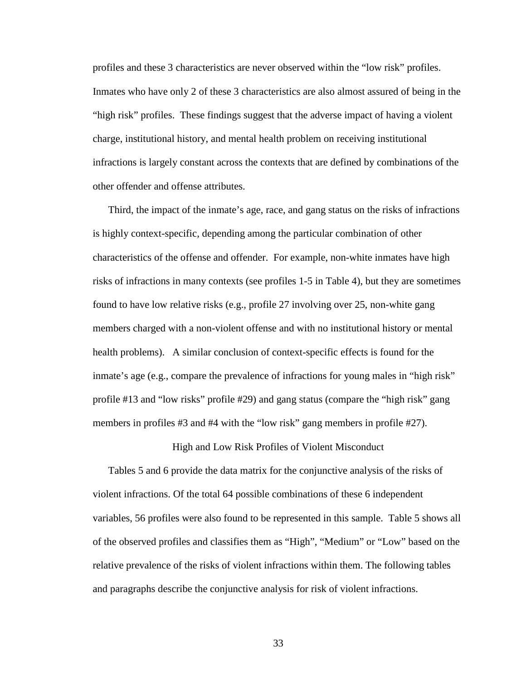profiles and these 3 characteristics are never observed within the "low risk" profiles. Inmates who have only 2 of these 3 characteristics are also almost assured of being in the "high risk" profiles. These findings suggest that the adverse impact of having a violent charge, institutional history, and mental health problem on receiving institutional infractions is largely constant across the contexts that are defined by combinations of the other offender and offense attributes.

 Third, the impact of the inmate's age, race, and gang status on the risks of infractions is highly context-specific, depending among the particular combination of other characteristics of the offense and offender. For example, non-white inmates have high risks of infractions in many contexts (see profiles 1-5 in Table 4), but they are sometimes found to have low relative risks (e.g., profile 27 involving over 25, non-white gang members charged with a non-violent offense and with no institutional history or mental health problems). A similar conclusion of context-specific effects is found for the inmate's age (e.g., compare the prevalence of infractions for young males in "high risk" profile #13 and "low risks" profile #29) and gang status (compare the "high risk" gang members in profiles #3 and #4 with the "low risk" gang members in profile #27).

High and Low Risk Profiles of Violent Misconduct

 Tables 5 and 6 provide the data matrix for the conjunctive analysis of the risks of violent infractions. Of the total 64 possible combinations of these 6 independent variables, 56 profiles were also found to be represented in this sample. Table 5 shows all of the observed profiles and classifies them as "High", "Medium" or "Low" based on the relative prevalence of the risks of violent infractions within them. The following tables and paragraphs describe the conjunctive analysis for risk of violent infractions.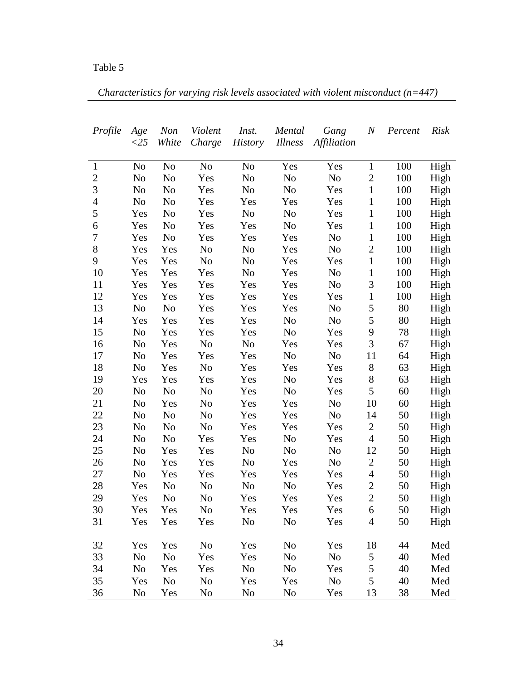*Characteristics for varying risk levels associated with violent misconduct (n=447)*

| Profile        | Age            | <b>Non</b>     | Violent        | Inst.          | Mental         | Gang           | $\it N$          | Percent | <b>Risk</b> |
|----------------|----------------|----------------|----------------|----------------|----------------|----------------|------------------|---------|-------------|
|                | ${<}25$        | White          | Charge         | <b>History</b> | <b>Illness</b> | Affiliation    |                  |         |             |
|                |                |                |                |                |                |                |                  |         |             |
| $\mathbf{1}$   | No             | No             | No             | No             | Yes            | Yes            | $\mathbf{1}$     | 100     | High        |
| $\overline{2}$ | N <sub>0</sub> | No             | Yes            | No             | N <sub>0</sub> | N <sub>o</sub> | $\mathbf{2}$     | 100     | High        |
| 3              | N <sub>o</sub> | No             | Yes            | N <sub>o</sub> | N <sub>0</sub> | Yes            | $\mathbf{1}$     | 100     | High        |
| $\overline{4}$ | No             | No             | Yes            | Yes            | Yes            | Yes            | $\mathbf{1}$     | 100     | High        |
| 5              | Yes            | No             | Yes            | No             | N <sub>0</sub> | Yes            | $\mathbf{1}$     | 100     | High        |
| 6              | Yes            | No             | Yes            | Yes            | No             | Yes            | $\mathbf{1}$     | 100     | High        |
| 7              | Yes            | N <sub>0</sub> | Yes            | Yes            | Yes            | N <sub>0</sub> | $\mathbf{1}$     | 100     | High        |
| 8              | Yes            | Yes            | No             | No             | Yes            | N <sub>o</sub> | $\boldsymbol{2}$ | 100     | High        |
| 9              | Yes            | Yes            | No             | No             | Yes            | Yes            | $\mathbf{1}$     | 100     | High        |
| 10             | Yes            | Yes            | Yes            | No             | Yes            | No             | $\mathbf{1}$     | 100     | High        |
| 11             | Yes            | Yes            | Yes            | Yes            | Yes            | N <sub>o</sub> | $\mathfrak{Z}$   | 100     | High        |
| 12             | Yes            | Yes            | Yes            | Yes            | Yes            | Yes            | $\mathbf{1}$     | 100     | High        |
| 13             | N <sub>o</sub> | No             | Yes            | Yes            | Yes            | No             | 5                | 80      | High        |
| 14             | Yes            | Yes            | Yes            | Yes            | No             | No             | 5                | 80      | High        |
| 15             | N <sub>0</sub> | Yes            | Yes            | Yes            | N <sub>0</sub> | Yes            | 9                | 78      | High        |
| 16             | No             | Yes            | No             | No             | Yes            | Yes            | 3                | 67      | High        |
| 17             | No             | Yes            | Yes            | Yes            | No             | N <sub>o</sub> | 11               | 64      | High        |
| 18             | No             | Yes            | No             | Yes            | Yes            | Yes            | 8                | 63      | High        |
| 19             | Yes            | Yes            | Yes            | Yes            | No             | Yes            | $8\,$            | 63      | High        |
| 20             | No             | N <sub>0</sub> | No             | Yes            | N <sub>0</sub> | Yes            | 5                | 60      | High        |
| 21             | No             | Yes            | No             | Yes            | Yes            | No             | 10               | 60      | High        |
| 22             | No             | No             | No             | Yes            | Yes            | N <sub>0</sub> | 14               | 50      | High        |
| 23             | N <sub>o</sub> | No             | No             | Yes            | Yes            | Yes            | $\overline{c}$   | 50      | High        |
| 24             | No             | N <sub>0</sub> | Yes            | Yes            | N <sub>0</sub> | Yes            | $\overline{4}$   | 50      | High        |
| 25             | N <sub>0</sub> | Yes            | Yes            | No             | N <sub>0</sub> | N <sub>0</sub> | 12               | 50      | High        |
| 26             | No             | Yes            | Yes            | N <sub>0</sub> | Yes            | No             | $\overline{c}$   | 50      | High        |
| 27             | No             | Yes            | Yes            | Yes            | Yes            | Yes            | $\overline{4}$   | 50      | High        |
| 28             | Yes            | No             | No             | No             | N <sub>0</sub> | Yes            | $\overline{c}$   | 50      | High        |
| 29             | Yes            | N <sub>0</sub> | No             | Yes            | Yes            | Yes            | $\overline{2}$   | 50      | High        |
| 30             | Yes            | Yes            | N <sub>0</sub> | Yes            | Yes            | Yes            | 6                | 50      | High        |
| 31             | Yes            | Yes            | Yes            | No             | N <sub>o</sub> | Yes            | $\overline{4}$   | 50      | High        |
|                |                |                |                |                |                |                |                  |         |             |
| 32             | Yes            | Yes            | N <sub>0</sub> | Yes            | N <sub>0</sub> | Yes            | 18               | 44      | Med         |
| 33             | N <sub>0</sub> | N <sub>0</sub> | Yes            | Yes            | N <sub>0</sub> | N <sub>0</sub> | 5                | 40      | Med         |
| 34             | N <sub>0</sub> | Yes            | Yes            | N <sub>o</sub> | N <sub>0</sub> | Yes            | 5                | 40      | Med         |
| 35             | Yes            | N <sub>0</sub> | No             | Yes            | Yes            | No             | 5                | 40      | Med         |
| 36             | No             | Yes            | No             | N <sub>0</sub> | N <sub>0</sub> | Yes            | 13               | 38      | Med         |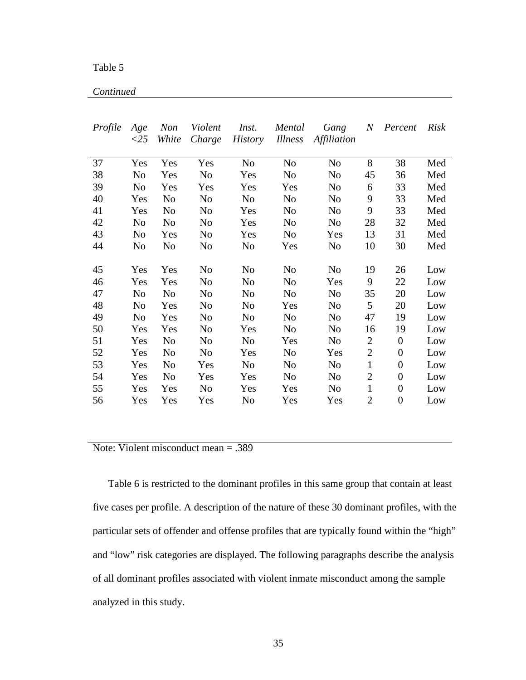Table 5

*Continued*

| Profile | Age<br>$\langle 25 \rangle$ | <b>Non</b><br>White | Violent<br>Charge | Inst.          | Mental<br><i>Illness</i> | Gang           | $N_{-}$        | Percent          | Risk |
|---------|-----------------------------|---------------------|-------------------|----------------|--------------------------|----------------|----------------|------------------|------|
|         |                             |                     |                   | <i>History</i> |                          | Affiliation    |                |                  |      |
| 37      | Yes                         | Yes                 | Yes               | N <sub>o</sub> | N <sub>o</sub>           | N <sub>0</sub> | 8              | 38               | Med  |
| 38      | N <sub>0</sub>              | Yes                 | N <sub>o</sub>    | Yes            | N <sub>o</sub>           | N <sub>o</sub> | 45             | 36               | Med  |
| 39      | N <sub>0</sub>              | Yes                 | Yes               | Yes            | Yes                      | N <sub>o</sub> | 6              | 33               | Med  |
| 40      | Yes                         | No                  | No                | N <sub>o</sub> | N <sub>o</sub>           | N <sub>o</sub> | 9              | 33               | Med  |
| 41      | Yes                         | N <sub>0</sub>      | No                | Yes            | N <sub>o</sub>           | N <sub>o</sub> | 9              | 33               | Med  |
| 42      | No                          | N <sub>0</sub>      | No                | Yes            | N <sub>0</sub>           | N <sub>0</sub> | 28             | 32               | Med  |
| 43      | No                          | Yes                 | No                | Yes            | N <sub>0</sub>           | Yes            | 13             | 31               | Med  |
| 44      | No                          | No                  | No                | N <sub>o</sub> | Yes                      | No             | 10             | 30               | Med  |
|         |                             |                     |                   |                |                          |                |                |                  |      |
| 45      | Yes                         | Yes                 | No                | N <sub>o</sub> | N <sub>0</sub>           | N <sub>o</sub> | 19             | 26               | Low  |
| 46      | Yes                         | Yes                 | N <sub>o</sub>    | N <sub>o</sub> | N <sub>o</sub>           | Yes            | 9              | 22               | Low  |
| 47      | N <sub>o</sub>              | N <sub>o</sub>      | No                | N <sub>o</sub> | N <sub>o</sub>           | N <sub>o</sub> | 35             | 20               | Low  |
| 48      | N <sub>o</sub>              | Yes                 | No                | No             | Yes                      | N <sub>o</sub> | 5              | 20               | Low  |
| 49      | No                          | Yes                 | N <sub>0</sub>    | No             | N <sub>0</sub>           | N <sub>o</sub> | 47             | 19               | Low  |
| 50      | Yes                         | Yes                 | N <sub>0</sub>    | Yes            | N <sub>o</sub>           | N <sub>0</sub> | 16             | 19               | Low  |
| 51      | Yes                         | N <sub>0</sub>      | No                | N <sub>0</sub> | Yes                      | N <sub>o</sub> | $\overline{2}$ | $\boldsymbol{0}$ | Low  |
| 52      | Yes                         | No                  | No                | Yes            | N <sub>o</sub>           | Yes            | $\mathbf{2}$   | $\theta$         | Low  |
| 53      | Yes                         | No                  | Yes               | No             | No                       | No             | $\mathbf{1}$   | $\theta$         | Low  |
| 54      | Yes                         | N <sub>0</sub>      | Yes               | Yes            | N <sub>o</sub>           | No             | $\overline{2}$ | $\boldsymbol{0}$ | Low  |
| 55      | Yes                         | Yes                 | No                | Yes            | Yes                      | N <sub>0</sub> | $\mathbf{1}$   | $\boldsymbol{0}$ | Low  |
| 56      | Yes                         | Yes                 | Yes               | N <sub>o</sub> | Yes                      | Yes            | $\overline{2}$ | $\boldsymbol{0}$ | Low  |

Note: Violent misconduct mean = .389

 Table 6 is restricted to the dominant profiles in this same group that contain at least five cases per profile. A description of the nature of these 30 dominant profiles, with the particular sets of offender and offense profiles that are typically found within the "high" and "low" risk categories are displayed. The following paragraphs describe the analysis of all dominant profiles associated with violent inmate misconduct among the sample analyzed in this study.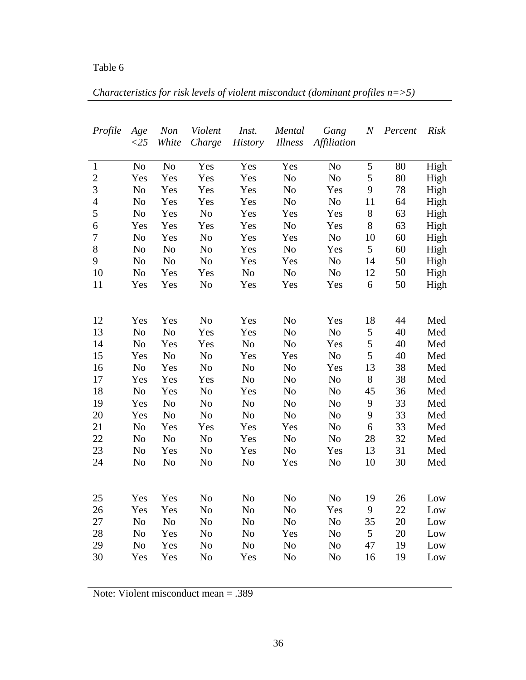*Characteristics for risk levels of violent misconduct (dominant profiles n=>5)*

| Profile                          | Age            | Non                   | Violent        | Inst.          | Mental         | Gang                             | $\boldsymbol{N}$ | Percent  | <b>Risk</b> |
|----------------------------------|----------------|-----------------------|----------------|----------------|----------------|----------------------------------|------------------|----------|-------------|
|                                  | $<$ 25         | White                 | Charge         | <b>History</b> | Illness        | Affiliation                      |                  |          |             |
|                                  |                |                       |                |                |                |                                  |                  |          |             |
| $\mathbf{1}$                     | N <sub>o</sub> | No                    | Yes            | Yes            | Yes            | N <sub>o</sub>                   | 5                | 80       | High        |
| $\overline{2}$<br>$\overline{3}$ | Yes            | Yes                   | Yes            | Yes            | No             | No                               | 5                | 80       | High        |
|                                  | No             | Yes                   | Yes            | Yes            | N <sub>o</sub> | Yes                              | 9                | 78       | High        |
| $\overline{4}$<br>5              | No             | Yes                   | Yes            | Yes            | N <sub>0</sub> | N <sub>o</sub>                   | 11               | 64       | High        |
| 6                                | No             | Yes                   | No             | Yes            | Yes            | Yes                              | $8\,$            | 63       | High        |
| $\boldsymbol{7}$                 | Yes            | Yes                   | Yes            | Yes            | N <sub>0</sub> | Yes                              | 8                | 63       | High        |
| 8                                | No             | Yes                   | No             | Yes            | Yes            | N <sub>o</sub>                   | 10               | 60       | High        |
| 9                                | No             | N <sub>0</sub>        | N <sub>o</sub> | Yes            | N <sub>o</sub> | Yes                              | 5<br>14          | 60<br>50 | High        |
| 10                               | No<br>No       | N <sub>0</sub><br>Yes | No<br>Yes      | Yes<br>No      | Yes<br>No      | N <sub>o</sub><br>N <sub>o</sub> | 12               | 50       | High        |
| 11                               |                | Yes                   | No             | Yes            | Yes            |                                  | 6                | 50       | High        |
|                                  | Yes            |                       |                |                |                | Yes                              |                  |          | High        |
|                                  |                |                       |                |                |                |                                  |                  |          |             |
| 12                               | Yes            | Yes                   | No             | Yes            | N <sub>o</sub> | Yes                              | 18               | 44       | Med         |
| 13                               | No             | No                    | Yes            | Yes            | N <sub>o</sub> | N <sub>o</sub>                   | $\mathfrak s$    | 40       | Med         |
| 14                               | No             | Yes                   | Yes            | No             | No             | Yes                              | 5                | 40       | Med         |
| 15                               | Yes            | No                    | No             | Yes            | Yes            | No                               | 5                | 40       | Med         |
| 16                               | No             | Yes                   | No             | No             | No             | Yes                              | 13               | 38       | Med         |
| 17                               | Yes            | Yes                   | Yes            | N <sub>0</sub> | No             | No                               | $8\,$            | 38       | Med         |
| 18                               | No             | Yes                   | No             | Yes            | No             | No                               | 45               | 36       | Med         |
| 19                               | Yes            | No                    | No             | No             | No             | No                               | 9                | 33       | Med         |
| 20                               | Yes            | No                    | No             | No             | No             | No                               | 9                | 33       | Med         |
| 21                               | No             | Yes                   | Yes            | Yes            | Yes            | No                               | $\boldsymbol{6}$ | 33       | Med         |
| 22                               | N <sub>o</sub> | No                    | No             | Yes            | No             | No                               | 28               | 32       | Med         |
| 23                               | N <sub>o</sub> | Yes                   | No             | Yes            | No             | Yes                              | 13               | 31       | Med         |
| 24                               | N <sub>o</sub> | No                    | No             | No             | Yes            | No                               | 10               | 30       | Med         |
|                                  |                |                       |                |                |                |                                  |                  |          |             |
|                                  |                |                       |                |                |                |                                  |                  |          |             |
| 25                               | Yes            | Yes                   | N <sub>o</sub> | N <sub>o</sub> | No             | No                               | 19               | 26       | Low         |
| 26                               | Yes            | Yes                   | No             | N <sub>o</sub> | No             | Yes                              | 9                | 22       | Low         |
| 27                               | No             | N <sub>0</sub>        | No             | N <sub>o</sub> | N <sub>0</sub> | N <sub>o</sub>                   | 35               | 20       | Low         |
| 28                               | No             | Yes                   | No             | N <sub>o</sub> | Yes            | N <sub>o</sub>                   | 5                | 20       | Low         |
| 29                               | No             | Yes                   | No             | N <sub>o</sub> | No             | N <sub>o</sub>                   | 47               | 19       | Low         |
| 30                               | Yes            | Yes                   | N <sub>o</sub> | Yes            | N <sub>o</sub> | N <sub>o</sub>                   | 16               | 19       | Low         |
|                                  |                |                       |                |                |                |                                  |                  |          |             |

Note: Violent misconduct mean = .389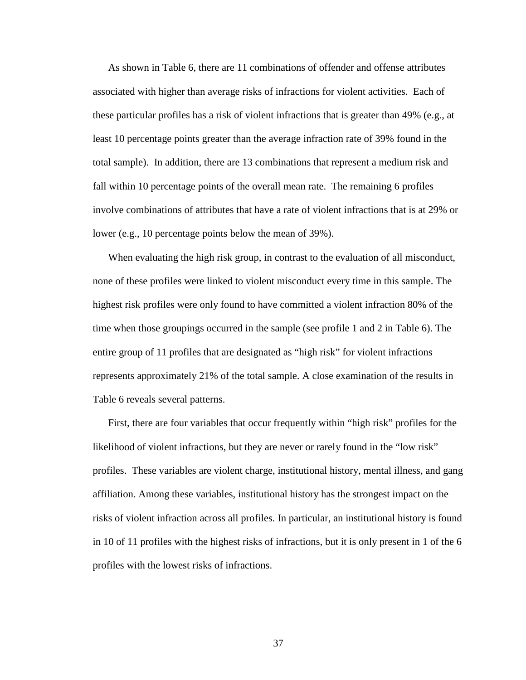As shown in Table 6, there are 11 combinations of offender and offense attributes associated with higher than average risks of infractions for violent activities. Each of these particular profiles has a risk of violent infractions that is greater than 49% (e.g., at least 10 percentage points greater than the average infraction rate of 39% found in the total sample). In addition, there are 13 combinations that represent a medium risk and fall within 10 percentage points of the overall mean rate. The remaining 6 profiles involve combinations of attributes that have a rate of violent infractions that is at 29% or lower (e.g., 10 percentage points below the mean of 39%).

 When evaluating the high risk group, in contrast to the evaluation of all misconduct, none of these profiles were linked to violent misconduct every time in this sample. The highest risk profiles were only found to have committed a violent infraction 80% of the time when those groupings occurred in the sample (see profile 1 and 2 in Table 6). The entire group of 11 profiles that are designated as "high risk" for violent infractions represents approximately 21% of the total sample. A close examination of the results in Table 6 reveals several patterns.

 First, there are four variables that occur frequently within "high risk" profiles for the likelihood of violent infractions, but they are never or rarely found in the "low risk" profiles. These variables are violent charge, institutional history, mental illness, and gang affiliation. Among these variables, institutional history has the strongest impact on the risks of violent infraction across all profiles. In particular, an institutional history is found in 10 of 11 profiles with the highest risks of infractions, but it is only present in 1 of the 6 profiles with the lowest risks of infractions.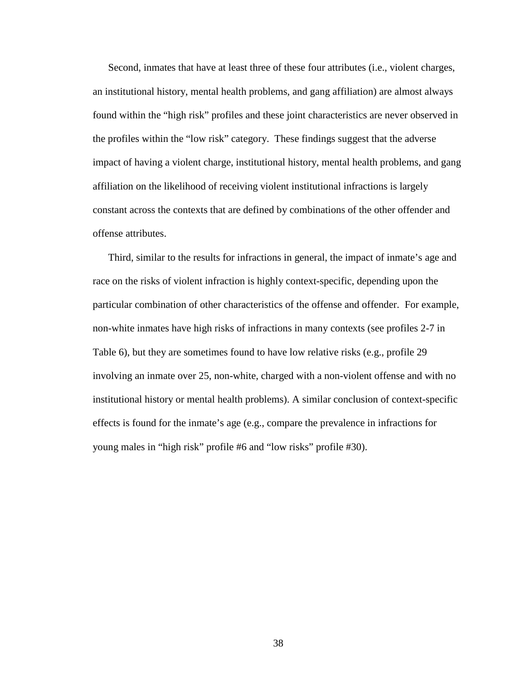Second, inmates that have at least three of these four attributes (i.e., violent charges, an institutional history, mental health problems, and gang affiliation) are almost always found within the "high risk" profiles and these joint characteristics are never observed in the profiles within the "low risk" category. These findings suggest that the adverse impact of having a violent charge, institutional history, mental health problems, and gang affiliation on the likelihood of receiving violent institutional infractions is largely constant across the contexts that are defined by combinations of the other offender and offense attributes.

 Third, similar to the results for infractions in general, the impact of inmate's age and race on the risks of violent infraction is highly context-specific, depending upon the particular combination of other characteristics of the offense and offender. For example, non-white inmates have high risks of infractions in many contexts (see profiles 2-7 in Table 6), but they are sometimes found to have low relative risks (e.g., profile 29 involving an inmate over 25, non-white, charged with a non-violent offense and with no institutional history or mental health problems). A similar conclusion of context-specific effects is found for the inmate's age (e.g., compare the prevalence in infractions for young males in "high risk" profile #6 and "low risks" profile #30).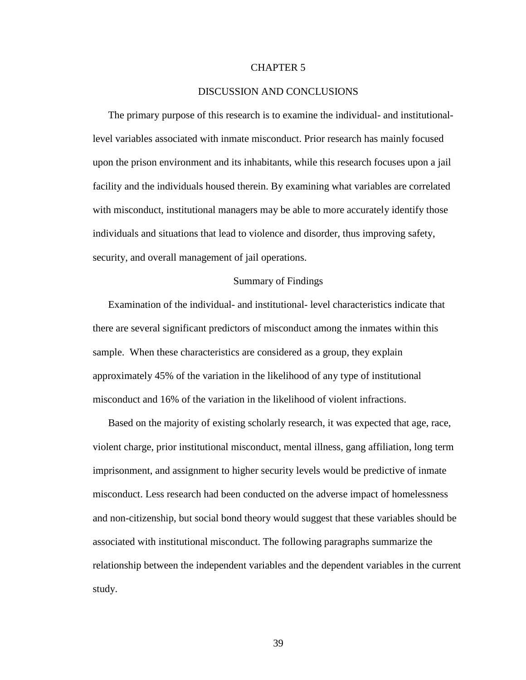#### CHAPTER 5

#### DISCUSSION AND CONCLUSIONS

 The primary purpose of this research is to examine the individual- and institutionallevel variables associated with inmate misconduct. Prior research has mainly focused upon the prison environment and its inhabitants, while this research focuses upon a jail facility and the individuals housed therein. By examining what variables are correlated with misconduct, institutional managers may be able to more accurately identify those individuals and situations that lead to violence and disorder, thus improving safety, security, and overall management of jail operations.

#### Summary of Findings

 Examination of the individual- and institutional- level characteristics indicate that there are several significant predictors of misconduct among the inmates within this sample. When these characteristics are considered as a group, they explain approximately 45% of the variation in the likelihood of any type of institutional misconduct and 16% of the variation in the likelihood of violent infractions.

 Based on the majority of existing scholarly research, it was expected that age, race, violent charge, prior institutional misconduct, mental illness, gang affiliation, long term imprisonment, and assignment to higher security levels would be predictive of inmate misconduct. Less research had been conducted on the adverse impact of homelessness and non-citizenship, but social bond theory would suggest that these variables should be associated with institutional misconduct. The following paragraphs summarize the relationship between the independent variables and the dependent variables in the current study.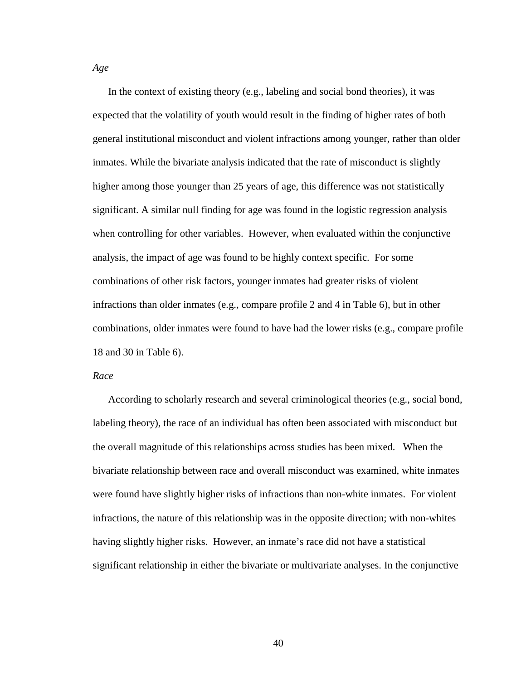In the context of existing theory (e.g., labeling and social bond theories), it was expected that the volatility of youth would result in the finding of higher rates of both general institutional misconduct and violent infractions among younger, rather than older inmates. While the bivariate analysis indicated that the rate of misconduct is slightly higher among those younger than 25 years of age, this difference was not statistically significant. A similar null finding for age was found in the logistic regression analysis when controlling for other variables. However, when evaluated within the conjunctive analysis, the impact of age was found to be highly context specific. For some combinations of other risk factors, younger inmates had greater risks of violent infractions than older inmates (e.g., compare profile 2 and 4 in Table 6), but in other combinations, older inmates were found to have had the lower risks (e.g., compare profile 18 and 30 in Table 6).

#### *Race*

 According to scholarly research and several criminological theories (e.g., social bond, labeling theory), the race of an individual has often been associated with misconduct but the overall magnitude of this relationships across studies has been mixed. When the bivariate relationship between race and overall misconduct was examined, white inmates were found have slightly higher risks of infractions than non-white inmates. For violent infractions, the nature of this relationship was in the opposite direction; with non-whites having slightly higher risks. However, an inmate's race did not have a statistical significant relationship in either the bivariate or multivariate analyses. In the conjunctive

*Age*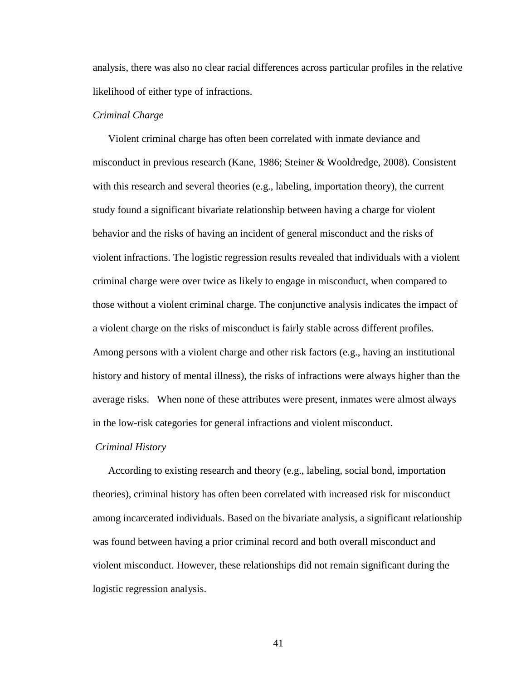analysis, there was also no clear racial differences across particular profiles in the relative likelihood of either type of infractions.

#### *Criminal Charge*

 Violent criminal charge has often been correlated with inmate deviance and misconduct in previous research (Kane, 1986; Steiner & Wooldredge, 2008). Consistent with this research and several theories (e.g., labeling, importation theory), the current study found a significant bivariate relationship between having a charge for violent behavior and the risks of having an incident of general misconduct and the risks of violent infractions. The logistic regression results revealed that individuals with a violent criminal charge were over twice as likely to engage in misconduct, when compared to those without a violent criminal charge. The conjunctive analysis indicates the impact of a violent charge on the risks of misconduct is fairly stable across different profiles. Among persons with a violent charge and other risk factors (e.g., having an institutional history and history of mental illness), the risks of infractions were always higher than the average risks. When none of these attributes were present, inmates were almost always in the low-risk categories for general infractions and violent misconduct.

#### *Criminal History*

 According to existing research and theory (e.g., labeling, social bond, importation theories), criminal history has often been correlated with increased risk for misconduct among incarcerated individuals. Based on the bivariate analysis, a significant relationship was found between having a prior criminal record and both overall misconduct and violent misconduct. However, these relationships did not remain significant during the logistic regression analysis.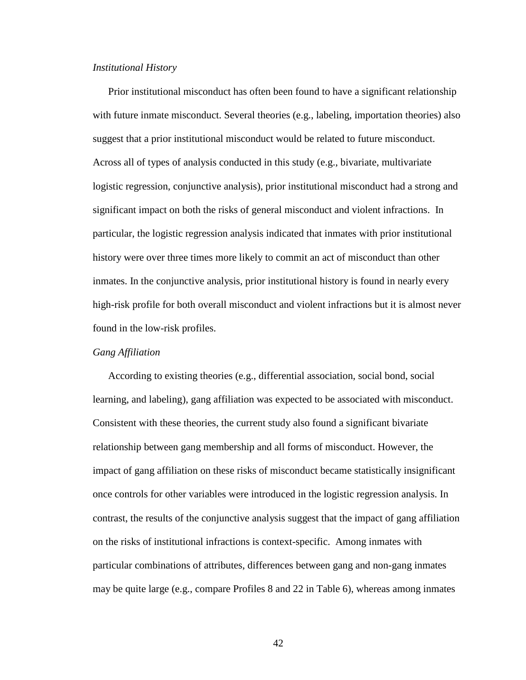#### *Institutional History*

 Prior institutional misconduct has often been found to have a significant relationship with future inmate misconduct. Several theories (e.g., labeling, importation theories) also suggest that a prior institutional misconduct would be related to future misconduct. Across all of types of analysis conducted in this study (e.g., bivariate, multivariate logistic regression, conjunctive analysis), prior institutional misconduct had a strong and significant impact on both the risks of general misconduct and violent infractions. In particular, the logistic regression analysis indicated that inmates with prior institutional history were over three times more likely to commit an act of misconduct than other inmates. In the conjunctive analysis, prior institutional history is found in nearly every high-risk profile for both overall misconduct and violent infractions but it is almost never found in the low-risk profiles.

#### *Gang Affiliation*

 According to existing theories (e.g., differential association, social bond, social learning, and labeling), gang affiliation was expected to be associated with misconduct. Consistent with these theories, the current study also found a significant bivariate relationship between gang membership and all forms of misconduct. However, the impact of gang affiliation on these risks of misconduct became statistically insignificant once controls for other variables were introduced in the logistic regression analysis. In contrast, the results of the conjunctive analysis suggest that the impact of gang affiliation on the risks of institutional infractions is context-specific. Among inmates with particular combinations of attributes, differences between gang and non-gang inmates may be quite large (e.g., compare Profiles 8 and 22 in Table 6), whereas among inmates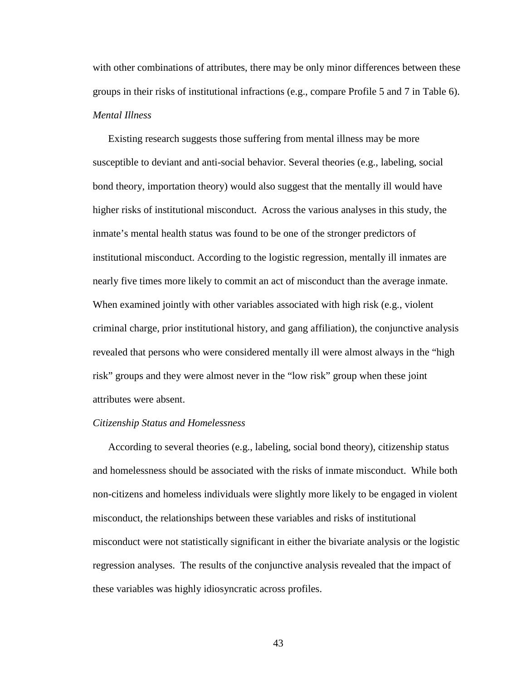with other combinations of attributes, there may be only minor differences between these groups in their risks of institutional infractions (e.g., compare Profile 5 and 7 in Table 6). *Mental Illness* 

 Existing research suggests those suffering from mental illness may be more susceptible to deviant and anti-social behavior. Several theories (e.g., labeling, social bond theory, importation theory) would also suggest that the mentally ill would have higher risks of institutional misconduct. Across the various analyses in this study, the inmate's mental health status was found to be one of the stronger predictors of institutional misconduct. According to the logistic regression, mentally ill inmates are nearly five times more likely to commit an act of misconduct than the average inmate. When examined jointly with other variables associated with high risk (e.g., violent criminal charge, prior institutional history, and gang affiliation), the conjunctive analysis revealed that persons who were considered mentally ill were almost always in the "high risk" groups and they were almost never in the "low risk" group when these joint attributes were absent.

#### *Citizenship Status and Homelessness*

 According to several theories (e.g., labeling, social bond theory), citizenship status and homelessness should be associated with the risks of inmate misconduct. While both non-citizens and homeless individuals were slightly more likely to be engaged in violent misconduct, the relationships between these variables and risks of institutional misconduct were not statistically significant in either the bivariate analysis or the logistic regression analyses. The results of the conjunctive analysis revealed that the impact of these variables was highly idiosyncratic across profiles.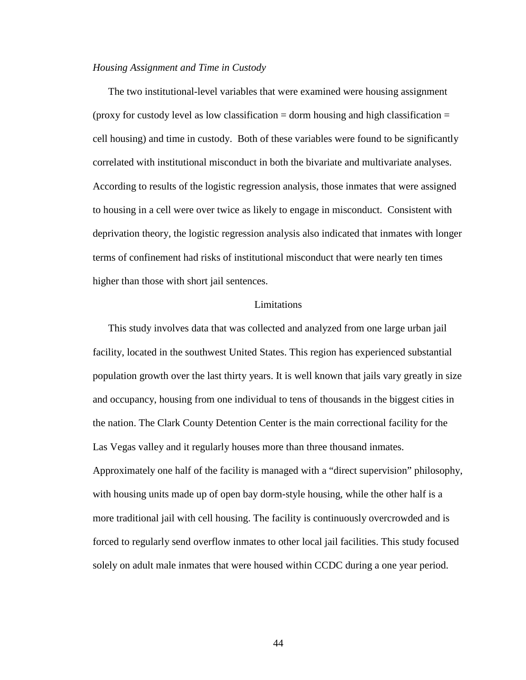#### *Housing Assignment and Time in Custody*

The two institutional-level variables that were examined were housing assignment (proxy for custody level as low classification  $=$  dorm housing and high classification  $=$ cell housing) and time in custody. Both of these variables were found to be significantly correlated with institutional misconduct in both the bivariate and multivariate analyses. According to results of the logistic regression analysis, those inmates that were assigned to housing in a cell were over twice as likely to engage in misconduct. Consistent with deprivation theory, the logistic regression analysis also indicated that inmates with longer terms of confinement had risks of institutional misconduct that were nearly ten times higher than those with short jail sentences.

#### Limitations

 This study involves data that was collected and analyzed from one large urban jail facility, located in the southwest United States. This region has experienced substantial population growth over the last thirty years. It is well known that jails vary greatly in size and occupancy, housing from one individual to tens of thousands in the biggest cities in the nation. The Clark County Detention Center is the main correctional facility for the Las Vegas valley and it regularly houses more than three thousand inmates. Approximately one half of the facility is managed with a "direct supervision" philosophy, with housing units made up of open bay dorm-style housing, while the other half is a more traditional jail with cell housing. The facility is continuously overcrowded and is forced to regularly send overflow inmates to other local jail facilities. This study focused solely on adult male inmates that were housed within CCDC during a one year period.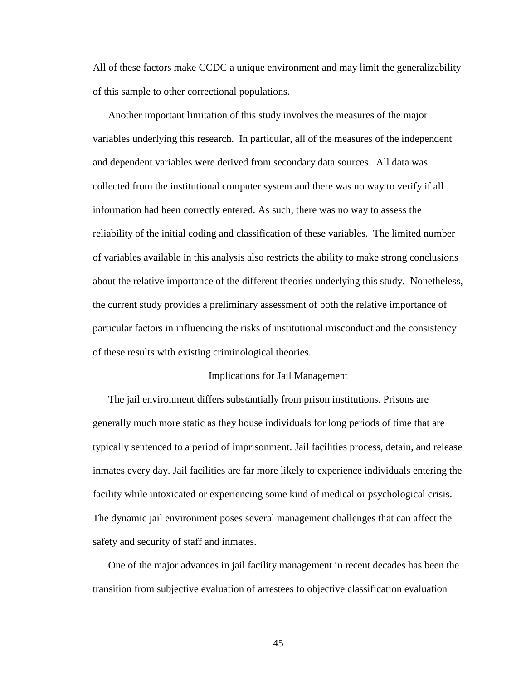All of these factors make CCDC a unique environment and may limit the generalizability of this sample to other correctional populations.

 Another important limitation of this study involves the measures of the major variables underlying this research. In particular, all of the measures of the independent and dependent variables were derived from secondary data sources. All data was collected from the institutional computer system and there was no way to verify if all information had been correctly entered. As such, there was no way to assess the reliability of the initial coding and classification of these variables. The limited number of variables available in this analysis also restricts the ability to make strong conclusions about the relative importance of the different theories underlying this study. Nonetheless, the current study provides a preliminary assessment of both the relative importance of particular factors in influencing the risks of institutional misconduct and the consistency of these results with existing criminological theories.

#### Implications for Jail Management

 The jail environment differs substantially from prison institutions. Prisons are generally much more static as they house individuals for long periods of time that are typically sentenced to a period of imprisonment. Jail facilities process, detain, and release inmates every day. Jail facilities are far more likely to experience individuals entering the facility while intoxicated or experiencing some kind of medical or psychological crisis. The dynamic jail environment poses several management challenges that can affect the safety and security of staff and inmates.

 One of the major advances in jail facility management in recent decades has been the transition from subjective evaluation of arrestees to objective classification evaluation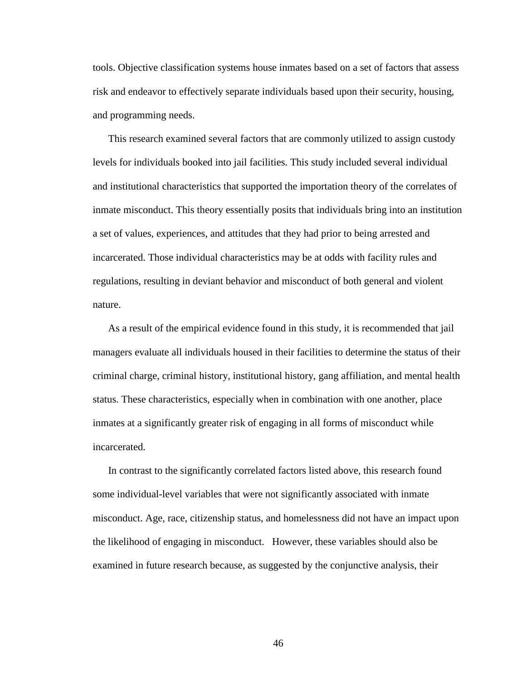tools. Objective classification systems house inmates based on a set of factors that assess risk and endeavor to effectively separate individuals based upon their security, housing, and programming needs.

 This research examined several factors that are commonly utilized to assign custody levels for individuals booked into jail facilities. This study included several individual and institutional characteristics that supported the importation theory of the correlates of inmate misconduct. This theory essentially posits that individuals bring into an institution a set of values, experiences, and attitudes that they had prior to being arrested and incarcerated. Those individual characteristics may be at odds with facility rules and regulations, resulting in deviant behavior and misconduct of both general and violent nature.

 As a result of the empirical evidence found in this study, it is recommended that jail managers evaluate all individuals housed in their facilities to determine the status of their criminal charge, criminal history, institutional history, gang affiliation, and mental health status. These characteristics, especially when in combination with one another, place inmates at a significantly greater risk of engaging in all forms of misconduct while incarcerated.

 In contrast to the significantly correlated factors listed above, this research found some individual-level variables that were not significantly associated with inmate misconduct. Age, race, citizenship status, and homelessness did not have an impact upon the likelihood of engaging in misconduct. However, these variables should also be examined in future research because, as suggested by the conjunctive analysis, their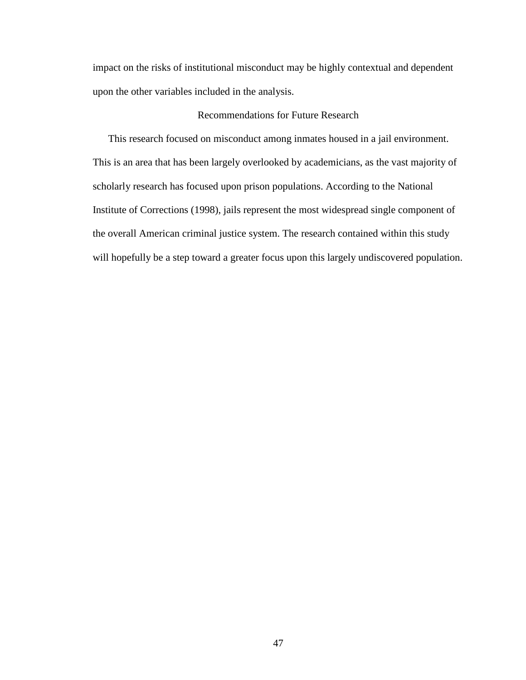impact on the risks of institutional misconduct may be highly contextual and dependent upon the other variables included in the analysis.

#### Recommendations for Future Research

 This research focused on misconduct among inmates housed in a jail environment. This is an area that has been largely overlooked by academicians, as the vast majority of scholarly research has focused upon prison populations. According to the National Institute of Corrections (1998), jails represent the most widespread single component of the overall American criminal justice system. The research contained within this study will hopefully be a step toward a greater focus upon this largely undiscovered population.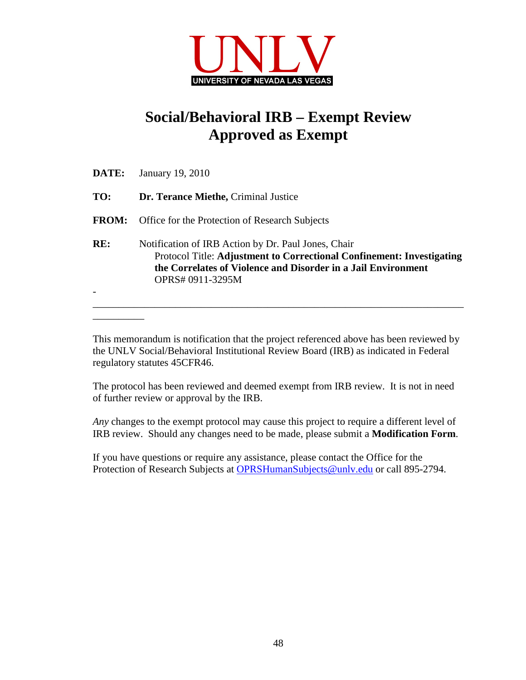

## **Social/Behavioral IRB – Exempt Review Approved as Exempt**

| DATE:        | January 19, 2010                                                                                                                                                                                                 |  |  |  |  |  |  |
|--------------|------------------------------------------------------------------------------------------------------------------------------------------------------------------------------------------------------------------|--|--|--|--|--|--|
| TO:          | Dr. Terance Miethe, Criminal Justice                                                                                                                                                                             |  |  |  |  |  |  |
| <b>FROM:</b> | Office for the Protection of Research Subjects                                                                                                                                                                   |  |  |  |  |  |  |
| RE:          | Notification of IRB Action by Dr. Paul Jones, Chair<br>Protocol Title: Adjustment to Correctional Confinement: Investigating<br>the Correlates of Violence and Disorder in a Jail Environment<br>OPRS#0911-3295M |  |  |  |  |  |  |

This memorandum is notification that the project referenced above has been reviewed by the UNLV Social/Behavioral Institutional Review Board (IRB) as indicated in Federal regulatory statutes 45CFR46.

The protocol has been reviewed and deemed exempt from IRB review. It is not in need of further review or approval by the IRB.

*Any* changes to the exempt protocol may cause this project to require a different level of IRB review. Should any changes need to be made, please submit a **Modification Form**.

If you have questions or require any assistance, please contact the Office for the Protection of Research Subjects at OPRSHumanSubjects@unly.edu or call 895-2794.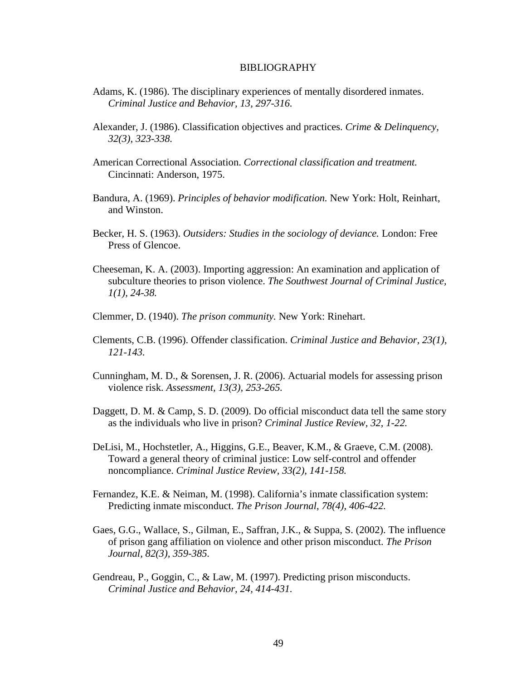#### BIBLIOGRAPHY

- Adams, K. (1986). The disciplinary experiences of mentally disordered inmates. *Criminal Justice and Behavior, 13, 297-316.*
- Alexander, J. (1986). Classification objectives and practices. *Crime & Delinquency, 32(3), 323-338.*
- American Correctional Association. *Correctional classification and treatment.*  Cincinnati: Anderson, 1975.
- Bandura, A. (1969). *Principles of behavior modification.* New York: Holt, Reinhart, and Winston.
- Becker, H. S. (1963). *Outsiders: Studies in the sociology of deviance.* London: Free Press of Glencoe.
- Cheeseman, K. A. (2003). Importing aggression: An examination and application of subculture theories to prison violence. *The Southwest Journal of Criminal Justice, 1(1), 24-38.*
- Clemmer, D. (1940). *The prison community.* New York: Rinehart.
- Clements, C.B. (1996). Offender classification. *Criminal Justice and Behavior, 23(1), 121-143.*
- Cunningham, M. D., & Sorensen, J. R. (2006). Actuarial models for assessing prison violence risk. *Assessment, 13(3), 253-265.*
- Daggett, D. M. & Camp, S. D. (2009). Do official misconduct data tell the same story as the individuals who live in prison? *Criminal Justice Review, 32, 1-22.*
- DeLisi, M., Hochstetler, A., Higgins, G.E., Beaver, K.M., & Graeve, C.M. (2008). Toward a general theory of criminal justice: Low self-control and offender noncompliance. *Criminal Justice Review, 33(2), 141-158.*
- Fernandez, K.E. & Neiman, M. (1998). California's inmate classification system: Predicting inmate misconduct. *The Prison Journal, 78(4), 406-422.*
- Gaes, G.G., Wallace, S., Gilman, E., Saffran, J.K., & Suppa, S. (2002). The influence of prison gang affiliation on violence and other prison misconduct. *The Prison Journal, 82(3), 359-385.*
- Gendreau, P., Goggin, C., & Law, M. (1997). Predicting prison misconducts. *Criminal Justice and Behavior, 24, 414-431.*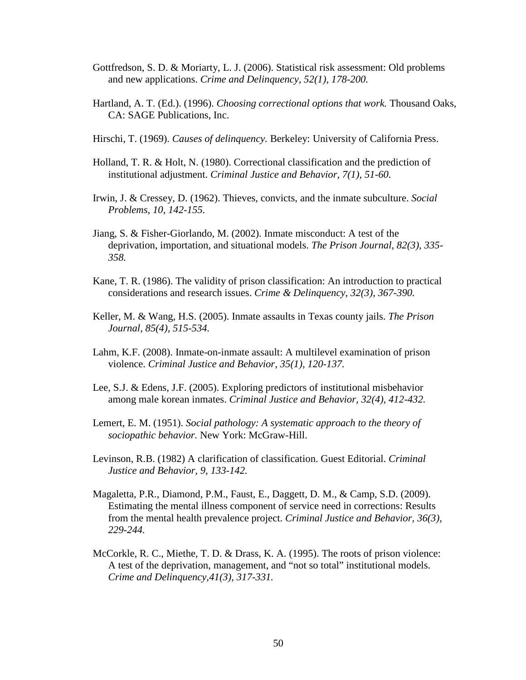- Gottfredson, S. D. & Moriarty, L. J. (2006). Statistical risk assessment: Old problems and new applications. *Crime and Delinquency, 52(1), 178-200.*
- Hartland, A. T. (Ed.). (1996). *Choosing correctional options that work.* Thousand Oaks, CA: SAGE Publications, Inc.
- Hirschi, T. (1969). *Causes of delinquency.* Berkeley: University of California Press.
- Holland, T. R. & Holt, N. (1980). Correctional classification and the prediction of institutional adjustment. *Criminal Justice and Behavior, 7(1), 51-60.*
- Irwin, J. & Cressey, D. (1962). Thieves, convicts, and the inmate subculture. *Social Problems, 10, 142-155.*
- Jiang, S. & Fisher-Giorlando, M. (2002). Inmate misconduct: A test of the deprivation, importation, and situational models. *The Prison Journal, 82(3), 335- 358.*
- Kane, T. R. (1986). The validity of prison classification: An introduction to practical considerations and research issues. *Crime & Delinquency, 32(3), 367-390.*
- Keller, M. & Wang, H.S. (2005). Inmate assaults in Texas county jails. *The Prison Journal, 85(4), 515-534.*
- Lahm, K.F. (2008). Inmate-on-inmate assault: A multilevel examination of prison violence. *Criminal Justice and Behavior, 35(1), 120-137.*
- Lee, S.J. & Edens, J.F. (2005). Exploring predictors of institutional misbehavior among male korean inmates. *Criminal Justice and Behavior, 32(4), 412-432.*
- Lemert, E. M. (1951). *Social pathology: A systematic approach to the theory of sociopathic behavior.* New York: McGraw-Hill.
- Levinson, R.B. (1982) A clarification of classification. Guest Editorial. *Criminal Justice and Behavior, 9, 133-142.*
- Magaletta, P.R., Diamond, P.M., Faust, E., Daggett, D. M., & Camp, S.D. (2009). Estimating the mental illness component of service need in corrections: Results from the mental health prevalence project. *Criminal Justice and Behavior, 36(3), 229-244.*
- McCorkle, R. C., Miethe, T. D. & Drass, K. A. (1995). The roots of prison violence: A test of the deprivation, management, and "not so total" institutional models. *Crime and Delinquency,41(3), 317-331.*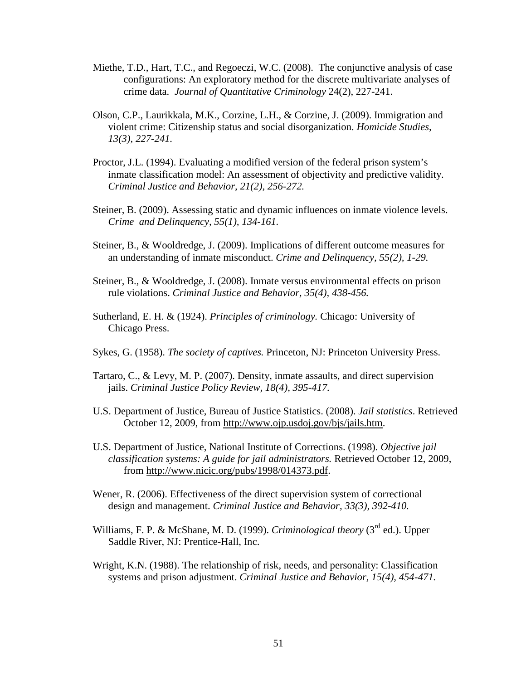- Miethe, T.D., Hart, T.C., and Regoeczi, W.C. (2008). The conjunctive analysis of case configurations: An exploratory method for the discrete multivariate analyses of crime data. *Journal of Quantitative Criminology* 24(2), 227-241.
- Olson, C.P., Laurikkala, M.K., Corzine, L.H., & Corzine, J. (2009). Immigration and violent crime: Citizenship status and social disorganization. *Homicide Studies, 13(3), 227-241.*
- Proctor, J.L. (1994). Evaluating a modified version of the federal prison system's inmate classification model: An assessment of objectivity and predictive validity. *Criminal Justice and Behavior, 21(2), 256-272.*
- Steiner, B. (2009). Assessing static and dynamic influences on inmate violence levels. *Crime and Delinquency, 55(1), 134-161.*
- Steiner, B., & Wooldredge, J. (2009). Implications of different outcome measures for an understanding of inmate misconduct. *Crime and Delinquency, 55(2), 1-29.*
- Steiner, B., & Wooldredge, J. (2008). Inmate versus environmental effects on prison rule violations. *Criminal Justice and Behavior, 35(4), 438-456.*
- Sutherland, E. H. & (1924). *Principles of criminology.* Chicago: University of Chicago Press.
- Sykes, G. (1958). *The society of captives.* Princeton, NJ: Princeton University Press.
- Tartaro, C., & Levy, M. P. (2007). Density, inmate assaults, and direct supervision jails. *Criminal Justice Policy Review, 18(4), 395-417.*
- U.S. Department of Justice, Bureau of Justice Statistics. (2008). *Jail statistics*. Retrieved October 12, 2009, from http://www.ojp.usdoj.gov/bjs/jails.htm.
- U.S. Department of Justice, National Institute of Corrections. (1998). *Objective jail classification systems: A guide for jail administrators.* Retrieved October 12, 2009, from http://www.nicic.org/pubs/1998/014373.pdf.
- Wener, R. (2006). Effectiveness of the direct supervision system of correctional design and management. *Criminal Justice and Behavior, 33(3), 392-410.*
- Williams, F. P. & McShane, M. D. (1999). *Criminological theory* (3<sup>rd</sup> ed.). Upper Saddle River, NJ: Prentice-Hall, Inc.
- Wright, K.N. (1988). The relationship of risk, needs, and personality: Classification systems and prison adjustment. *Criminal Justice and Behavior, 15(4), 454-471.*